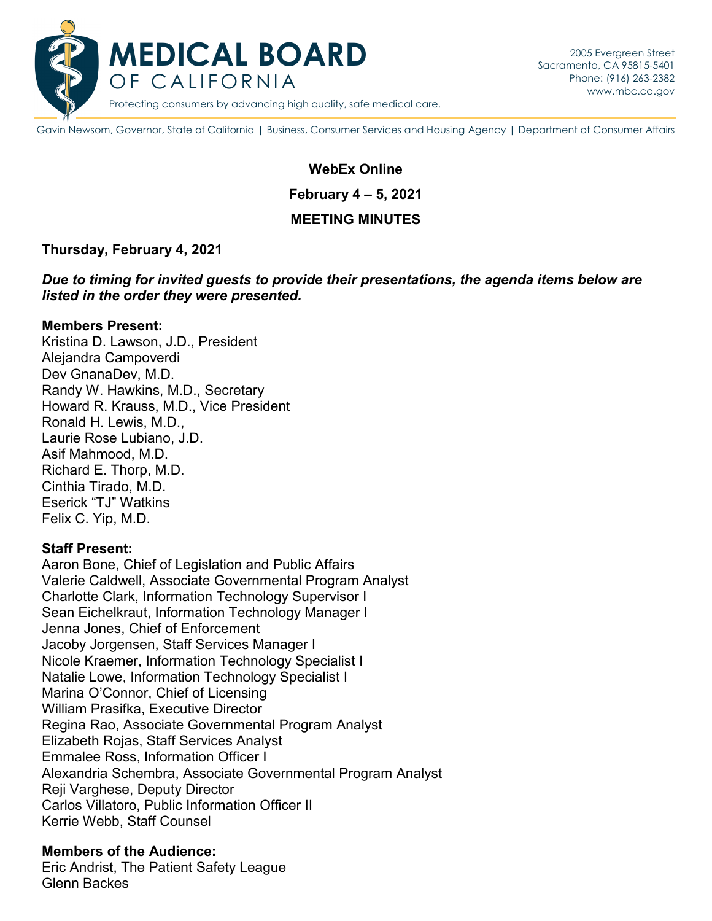

Gavin Newsom, Governor, State of California | Business, Consumer Services and Housing Agency | Department of Consumer Affairs

# **February 4 – 5, 2021 WebEx Online MEETING MINUTES**

#### **Thursday, February 4, 2021**

*Due to timing for invited guests to provide their presentations, the agenda items below are listed in the order they were presented.* 

#### **Members Present:**

 Kristina D. Lawson, J.D., President Alejandra Campoverdi Dev GnanaDev, M.D. Randy W. Hawkins, M.D., Secretary Howard R. Krauss, M.D., Vice President Ronald H. Lewis, M.D., Laurie Rose Lubiano, J.D. Asif Mahmood, M.D. Richard E. Thorp, M.D. Cinthia Tirado, M.D. Eserick "TJ" Watkins Felix C. Yip, M.D.

#### **Staff Present:**

Aaron Bone, Chief of Legislation and Public Affairs Valerie Caldwell, Associate Governmental Program Analyst Charlotte Clark, Information Technology Supervisor I Sean Eichelkraut, Information Technology Manager I Jenna Jones, Chief of Enforcement Jacoby Jorgensen, Staff Services Manager I Nicole Kraemer, Information Technology Specialist I Natalie Lowe, Information Technology Specialist I Marina O'Connor, Chief of Licensing William Prasifka, Executive Director Regina Rao, Associate Governmental Program Analyst Elizabeth Rojas, Staff Services Analyst Emmalee Ross, Information Officer I Alexandria Schembra, Associate Governmental Program Analyst Reji Varghese, Deputy Director Carlos Villatoro, Public Information Officer II Kerrie Webb, Staff Counsel

# **Members of the Audience:**

Eric Andrist, The Patient Safety League Glenn Backes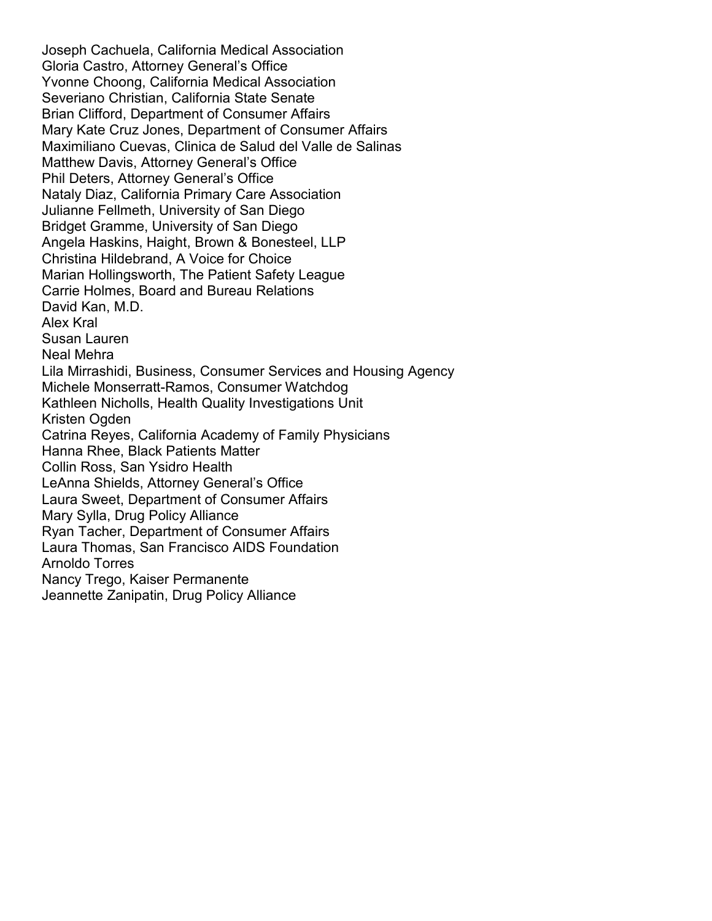Christina Hildebrand, A Voice for Choice Laura Sweet, Department of Consumer Affairs Joseph Cachuela, California Medical Association Gloria Castro, Attorney General's Office Yvonne Choong, California Medical Association Severiano Christian, California State Senate Brian Clifford, Department of Consumer Affairs Mary Kate Cruz Jones, Department of Consumer Affairs Maximiliano Cuevas, Clinica de Salud del Valle de Salinas Matthew Davis, Attorney General's Office Phil Deters, Attorney General's Office Nataly Diaz, California Primary Care Association Julianne Fellmeth, University of San Diego Bridget Gramme, University of San Diego Angela Haskins, Haight, Brown & Bonesteel, LLP Marian Hollingsworth, The Patient Safety League Carrie Holmes, Board and Bureau Relations David Kan, M.D. Alex Kral Susan Lauren Neal Mehra Lila Mirrashidi, Business, Consumer Services and Housing Agency Michele Monserratt-Ramos, Consumer Watchdog Kathleen Nicholls, Health Quality Investigations Unit Kristen Ogden Catrina Reyes, California Academy of Family Physicians Hanna Rhee, Black Patients Matter Collin Ross, San Ysidro Health LeAnna Shields, Attorney General's Office Mary Sylla, Drug Policy Alliance Ryan Tacher, Department of Consumer Affairs Laura Thomas, San Francisco AIDS Foundation Arnoldo Torres Nancy Trego, Kaiser Permanente Jeannette Zanipatin, Drug Policy Alliance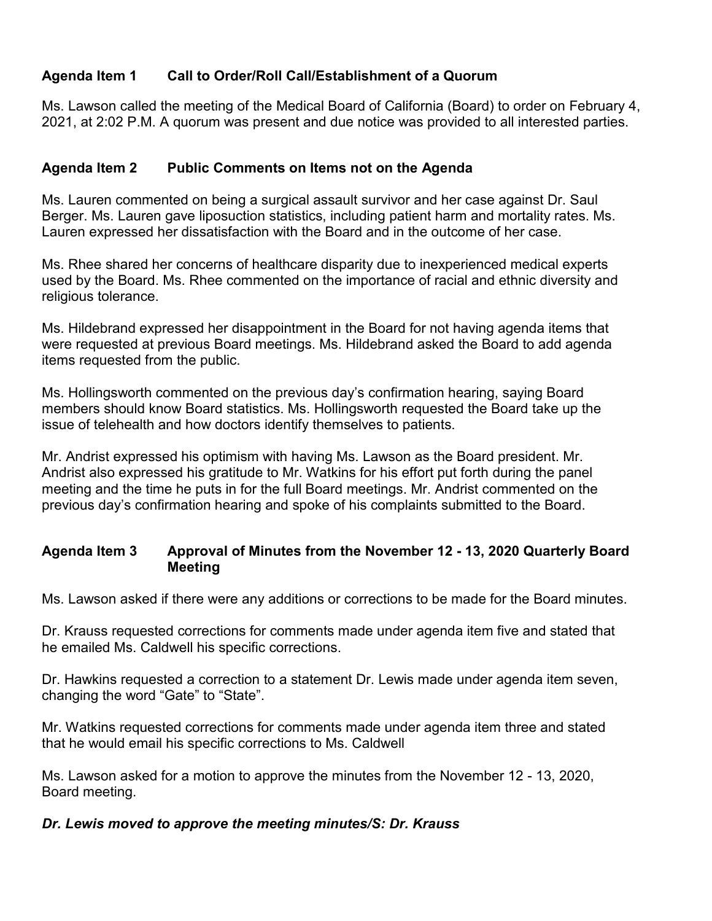# **Agenda Item 1 Call to Order/Roll Call/Establishment of a Quorum**

 2021, at 2:02 P.M. A quorum was present and due notice was provided to all interested parties. Ms. Lawson called the meeting of the Medical Board of California (Board) to order on February 4,

# **Agenda Item 2 Public Comments on Items not on the Agenda**

 Ms. Lauren commented on being a surgical assault survivor and her case against Dr. Saul Lauren expressed her dissatisfaction with the Board and in the outcome of her case. Berger. Ms. Lauren gave liposuction statistics, including patient harm and mortality rates. Ms.

 Ms. Rhee shared her concerns of healthcare disparity due to inexperienced medical experts used by the Board. Ms. Rhee commented on the importance of racial and ethnic diversity and religious tolerance.

Ms. Hildebrand expressed her disappointment in the Board for not having agenda items that were requested at previous Board meetings. Ms. Hildebrand asked the Board to add agenda items requested from the public.

Ms. Hollingsworth commented on the previous day's confirmation hearing, saying Board members should know Board statistics. Ms. Hollingsworth requested the Board take up the issue of telehealth and how doctors identify themselves to patients.

 Andrist also expressed his gratitude to Mr. Watkins for his effort put forth during the panel Mr. Andrist expressed his optimism with having Ms. Lawson as the Board president. Mr. meeting and the time he puts in for the full Board meetings. Mr. Andrist commented on the previous day's confirmation hearing and spoke of his complaints submitted to the Board.

# **Agenda Item 3 Approval of Minutes from the November 12 - 13, 2020 Quarterly Board Meeting**

Ms. Lawson asked if there were any additions or corrections to be made for the Board minutes.

Dr. Krauss requested corrections for comments made under agenda item five and stated that he emailed Ms. Caldwell his specific corrections.

Dr. Hawkins requested a correction to a statement Dr. Lewis made under agenda item seven, changing the word "Gate" to "State".

Mr. Watkins requested corrections for comments made under agenda item three and stated that he would email his specific corrections to Ms. Caldwell

 Ms. Lawson asked for a motion to approve the minutes from the November 12 - 13, 2020, Board meeting.

# *Dr. Lewis moved to approve the meeting minutes/S: Dr. Krauss*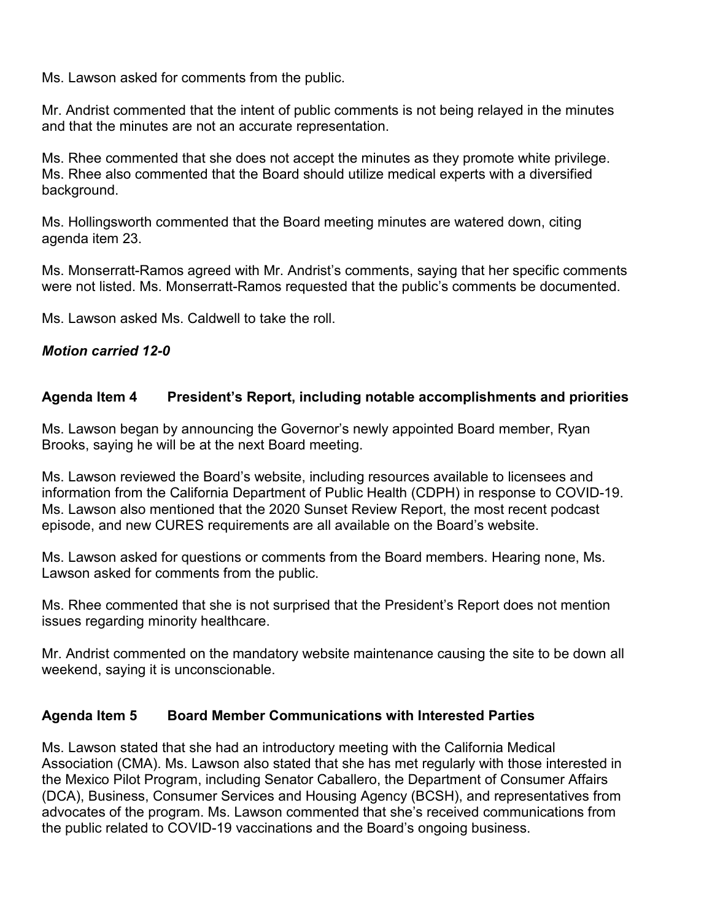Ms. Lawson asked for comments from the public.

Mr. Andrist commented that the intent of public comments is not being relayed in the minutes and that the minutes are not an accurate representation.

Ms. Rhee commented that she does not accept the minutes as they promote white privilege. Ms. Rhee also commented that the Board should utilize medical experts with a diversified background.

Ms. Hollingsworth commented that the Board meeting minutes are watered down, citing agenda item 23.

 Ms. Monserratt-Ramos agreed with Mr. Andrist's comments, saying that her specific comments were not listed. Ms. Monserratt-Ramos requested that the public's comments be documented.

Ms. Lawson asked Ms. Caldwell to take the roll.

#### *Motion carried 12-0*

# **Agenda Item 4 President's Report, including notable accomplishments and priorities**

Ms. Lawson began by announcing the Governor's newly appointed Board member, Ryan Brooks, saying he will be at the next Board meeting.

 Ms. Lawson reviewed the Board's website, including resources available to licensees and Ms. Lawson also mentioned that the 2020 Sunset Review Report, the most recent podcast episode, and new CURES requirements are all available on the Board's website. information from the California Department of Public Health (CDPH) in response to COVID-19.

 Ms. Lawson asked for questions or comments from the Board members. Hearing none, Ms. Lawson asked for comments from the public.

Ms. Rhee commented that she is not surprised that the President's Report does not mention issues regarding minority healthcare.

Mr. Andrist commented on the mandatory website maintenance causing the site to be down all weekend, saying it is unconscionable.

#### **Agenda Item 5 Board Member Communications with Interested Parties**

 the Mexico Pilot Program, including Senator Caballero, the Department of Consumer Affairs advocates of the program. Ms. Lawson commented that she's received communications from Ms. Lawson stated that she had an introductory meeting with the California Medical Association (CMA). Ms. Lawson also stated that she has met regularly with those interested in (DCA), Business, Consumer Services and Housing Agency (BCSH), and representatives from the public related to COVID-19 vaccinations and the Board's ongoing business.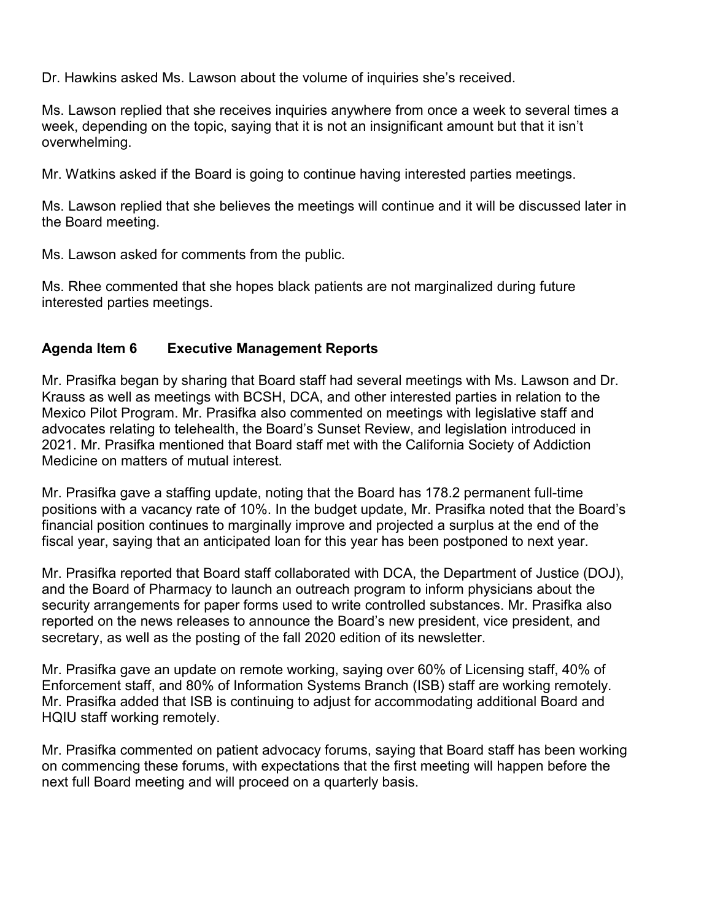Dr. Hawkins asked Ms. Lawson about the volume of inquiries she's received.

Ms. Lawson replied that she receives inquiries anywhere from once a week to several times a week, depending on the topic, saying that it is not an insignificant amount but that it isn't overwhelming.

Mr. Watkins asked if the Board is going to continue having interested parties meetings.

 the Board meeting. Ms. Lawson replied that she believes the meetings will continue and it will be discussed later in

Ms. Lawson asked for comments from the public.

Ms. Rhee commented that she hopes black patients are not marginalized during future interested parties meetings.

# **Agenda Item 6 Executive Management Reports**

 Mr. Prasifka began by sharing that Board staff had several meetings with Ms. Lawson and Dr. Krauss as well as meetings with BCSH, DCA, and other interested parties in relation to the Mexico Pilot Program. Mr. Prasifka also commented on meetings with legislative staff and advocates relating to telehealth, the Board's Sunset Review, and legislation introduced in 2021. Mr. Prasifka mentioned that Board staff met with the California Society of Addiction Medicine on matters of mutual interest.

 positions with a vacancy rate of 10%. In the budget update, Mr. Prasifka noted that the Board's fiscal year, saying that an anticipated loan for this year has been postponed to next year. Mr. Prasifka gave a staffing update, noting that the Board has 178.2 permanent full-time financial position continues to marginally improve and projected a surplus at the end of the

Mr. Prasifka reported that Board staff collaborated with DCA, the Department of Justice (DOJ), and the Board of Pharmacy to launch an outreach program to inform physicians about the security arrangements for paper forms used to write controlled substances. Mr. Prasifka also reported on the news releases to announce the Board's new president, vice president, and secretary, as well as the posting of the fall 2020 edition of its newsletter.

 Mr. Prasifka gave an update on remote working, saying over 60% of Licensing staff, 40% of Enforcement staff, and 80% of Information Systems Branch (ISB) staff are working remotely. Mr. Prasifka added that ISB is continuing to adjust for accommodating additional Board and HQIU staff working remotely.

 on commencing these forums, with expectations that the first meeting will happen before the next full Board meeting and will proceed on a quarterly basis. Mr. Prasifka commented on patient advocacy forums, saying that Board staff has been working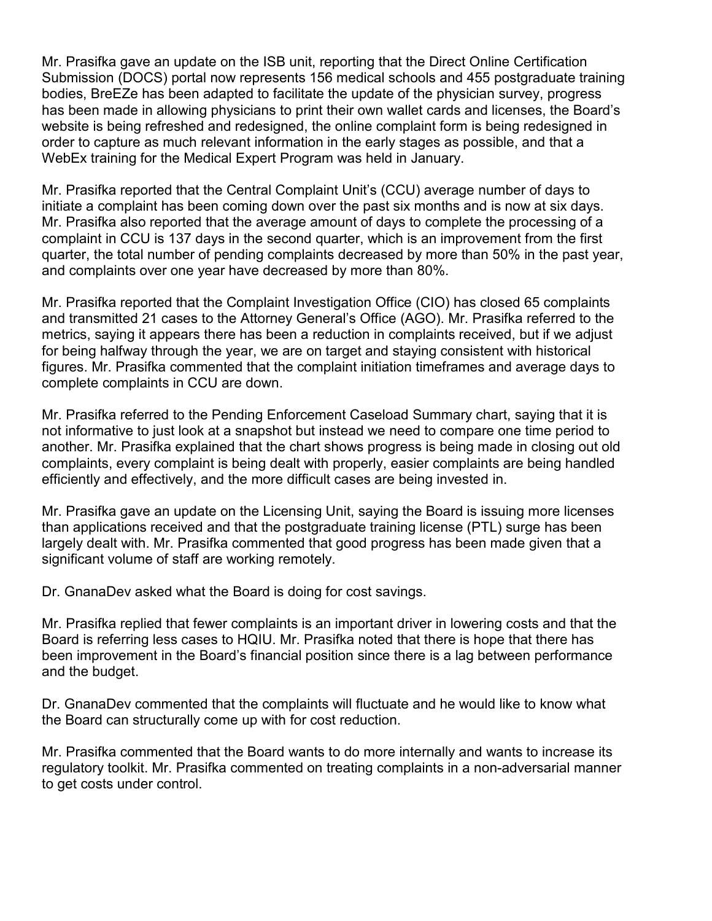bodies, BreEZe has been adapted to facilitate the update of the physician survey, progress Mr. Prasifka gave an update on the ISB unit, reporting that the Direct Online Certification Submission (DOCS) portal now represents 156 medical schools and 455 postgraduate training has been made in allowing physicians to print their own wallet cards and licenses, the Board's website is being refreshed and redesigned, the online complaint form is being redesigned in order to capture as much relevant information in the early stages as possible, and that a WebEx training for the Medical Expert Program was held in January.

 initiate a complaint has been coming down over the past six months and is now at six days. complaint in CCU is 137 days in the second quarter, which is an improvement from the first Mr. Prasifka reported that the Central Complaint Unit's (CCU) average number of days to Mr. Prasifka also reported that the average amount of days to complete the processing of a quarter, the total number of pending complaints decreased by more than 50% in the past year, and complaints over one year have decreased by more than 80%.

 complete complaints in CCU are down. Mr. Prasifka reported that the Complaint Investigation Office (CIO) has closed 65 complaints and transmitted 21 cases to the Attorney General's Office (AGO). Mr. Prasifka referred to the metrics, saying it appears there has been a reduction in complaints received, but if we adjust for being halfway through the year, we are on target and staying consistent with historical figures. Mr. Prasifka commented that the complaint initiation timeframes and average days to

Mr. Prasifka referred to the Pending Enforcement Caseload Summary chart, saying that it is not informative to just look at a snapshot but instead we need to compare one time period to another. Mr. Prasifka explained that the chart shows progress is being made in closing out old complaints, every complaint is being dealt with properly, easier complaints are being handled efficiently and effectively, and the more difficult cases are being invested in.

Mr. Prasifka gave an update on the Licensing Unit, saying the Board is issuing more licenses than applications received and that the postgraduate training license (PTL) surge has been largely dealt with. Mr. Prasifka commented that good progress has been made given that a significant volume of staff are working remotely.

Dr. GnanaDev asked what the Board is doing for cost savings.

 Board is referring less cases to HQIU. Mr. Prasifka noted that there is hope that there has been improvement in the Board's financial position since there is a lag between performance Mr. Prasifka replied that fewer complaints is an important driver in lowering costs and that the and the budget.

 Dr. GnanaDev commented that the complaints will fluctuate and he would like to know what the Board can structurally come up with for cost reduction.

 Mr. Prasifka commented that the Board wants to do more internally and wants to increase its regulatory toolkit. Mr. Prasifka commented on treating complaints in a non-adversarial manner to get costs under control.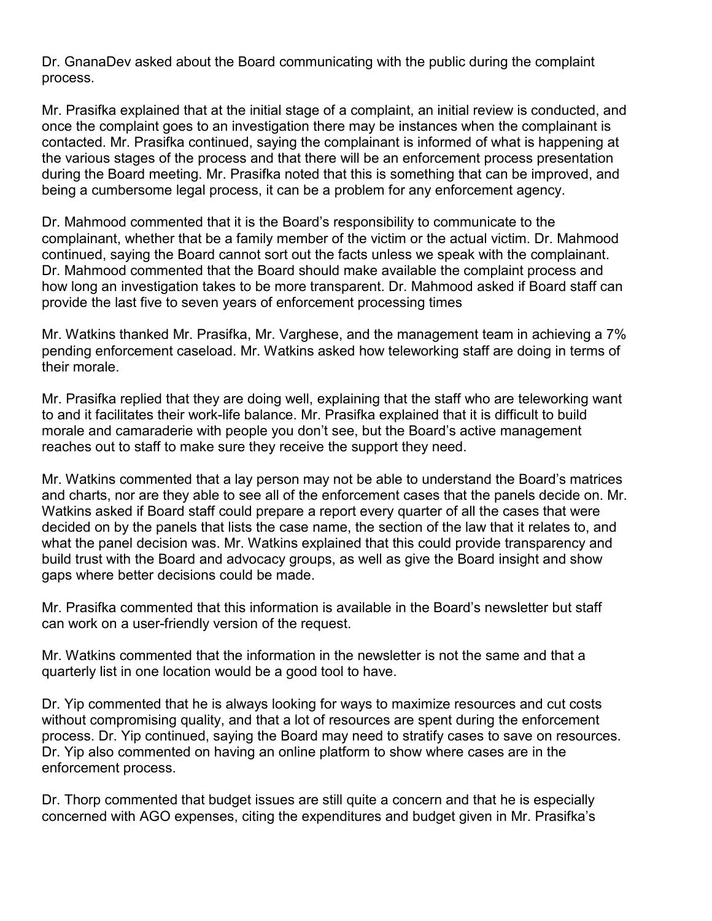Dr. GnanaDev asked about the Board communicating with the public during the complaint process.

 being a cumbersome legal process, it can be a problem for any enforcement agency. Mr. Prasifka explained that at the initial stage of a complaint, an initial review is conducted, and once the complaint goes to an investigation there may be instances when the complainant is contacted. Mr. Prasifka continued, saying the complainant is informed of what is happening at the various stages of the process and that there will be an enforcement process presentation during the Board meeting. Mr. Prasifka noted that this is something that can be improved, and

Dr. Mahmood commented that it is the Board's responsibility to communicate to the complainant, whether that be a family member of the victim or the actual victim. Dr. Mahmood continued, saying the Board cannot sort out the facts unless we speak with the complainant. Dr. Mahmood commented that the Board should make available the complaint process and how long an investigation takes to be more transparent. Dr. Mahmood asked if Board staff can provide the last five to seven years of enforcement processing times

 Mr. Watkins thanked Mr. Prasifka, Mr. Varghese, and the management team in achieving a 7% pending enforcement caseload. Mr. Watkins asked how teleworking staff are doing in terms of their morale.

Mr. Prasifka replied that they are doing well, explaining that the staff who are teleworking want to and it facilitates their work-life balance. Mr. Prasifka explained that it is difficult to build morale and camaraderie with people you don't see, but the Board's active management reaches out to staff to make sure they receive the support they need.

 and charts, nor are they able to see all of the enforcement cases that the panels decide on. Mr. Watkins asked if Board staff could prepare a report every quarter of all the cases that were Mr. Watkins commented that a lay person may not be able to understand the Board's matrices decided on by the panels that lists the case name, the section of the law that it relates to, and what the panel decision was. Mr. Watkins explained that this could provide transparency and build trust with the Board and advocacy groups, as well as give the Board insight and show gaps where better decisions could be made.

Mr. Prasifka commented that this information is available in the Board's newsletter but staff can work on a user-friendly version of the request.

Mr. Watkins commented that the information in the newsletter is not the same and that a quarterly list in one location would be a good tool to have.

Dr. Yip commented that he is always looking for ways to maximize resources and cut costs without compromising quality, and that a lot of resources are spent during the enforcement process. Dr. Yip continued, saying the Board may need to stratify cases to save on resources. Dr. Yip also commented on having an online platform to show where cases are in the enforcement process.

Dr. Thorp commented that budget issues are still quite a concern and that he is especially concerned with AGO expenses, citing the expenditures and budget given in Mr. Prasifka's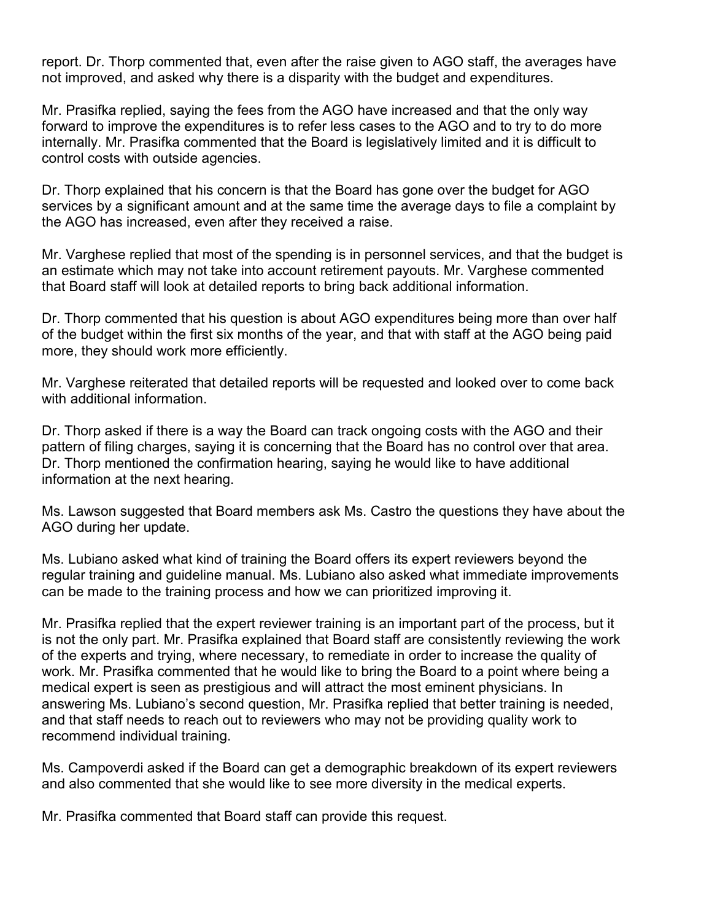report. Dr. Thorp commented that, even after the raise given to AGO staff, the averages have not improved, and asked why there is a disparity with the budget and expenditures.

 Mr. Prasifka replied, saying the fees from the AGO have increased and that the only way forward to improve the expenditures is to refer less cases to the AGO and to try to do more internally. Mr. Prasifka commented that the Board is legislatively limited and it is difficult to control costs with outside agencies.

 Dr. Thorp explained that his concern is that the Board has gone over the budget for AGO services by a significant amount and at the same time the average days to file a complaint by the AGO has increased, even after they received a raise.

 Mr. Varghese replied that most of the spending is in personnel services, and that the budget is an estimate which may not take into account retirement payouts. Mr. Varghese commented that Board staff will look at detailed reports to bring back additional information.

 Dr. Thorp commented that his question is about AGO expenditures being more than over half of the budget within the first six months of the year, and that with staff at the AGO being paid more, they should work more efficiently.

Mr. Varghese reiterated that detailed reports will be requested and looked over to come back with additional information.

Dr. Thorp asked if there is a way the Board can track ongoing costs with the AGO and their pattern of filing charges, saying it is concerning that the Board has no control over that area. Dr. Thorp mentioned the confirmation hearing, saying he would like to have additional information at the next hearing.

Ms. Lawson suggested that Board members ask Ms. Castro the questions they have about the AGO during her update.

Ms. Lubiano asked what kind of training the Board offers its expert reviewers beyond the regular training and guideline manual. Ms. Lubiano also asked what immediate improvements can be made to the training process and how we can prioritized improving it.

 Mr. Prasifka replied that the expert reviewer training is an important part of the process, but it medical expert is seen as prestigious and will attract the most eminent physicians. In recommend individual training. is not the only part. Mr. Prasifka explained that Board staff are consistently reviewing the work of the experts and trying, where necessary, to remediate in order to increase the quality of work. Mr. Prasifka commented that he would like to bring the Board to a point where being a answering Ms. Lubiano's second question, Mr. Prasifka replied that better training is needed, and that staff needs to reach out to reviewers who may not be providing quality work to

Ms. Campoverdi asked if the Board can get a demographic breakdown of its expert reviewers and also commented that she would like to see more diversity in the medical experts.

Mr. Prasifka commented that Board staff can provide this request.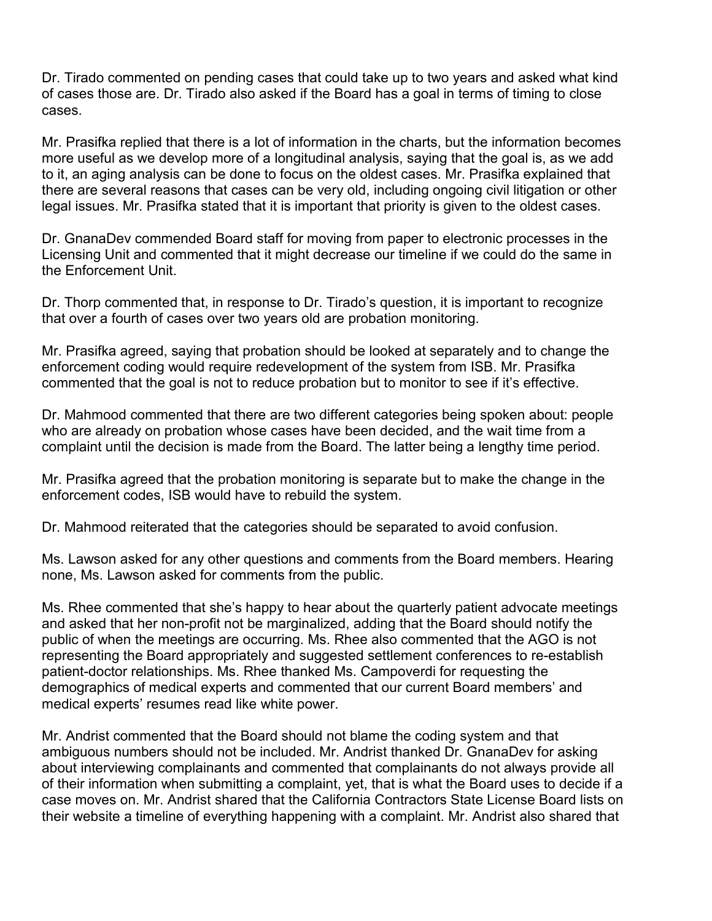Dr. Tirado commented on pending cases that could take up to two years and asked what kind of cases those are. Dr. Tirado also asked if the Board has a goal in terms of timing to close cases.

 Mr. Prasifka replied that there is a lot of information in the charts, but the information becomes more useful as we develop more of a longitudinal analysis, saying that the goal is, as we add to it, an aging analysis can be done to focus on the oldest cases. Mr. Prasifka explained that there are several reasons that cases can be very old, including ongoing civil litigation or other legal issues. Mr. Prasifka stated that it is important that priority is given to the oldest cases.

 Dr. GnanaDev commended Board staff for moving from paper to electronic processes in the Licensing Unit and commented that it might decrease our timeline if we could do the same in the Enforcement Unit.

 Dr. Thorp commented that, in response to Dr. Tirado's question, it is important to recognize that over a fourth of cases over two years old are probation monitoring.

Mr. Prasifka agreed, saying that probation should be looked at separately and to change the enforcement coding would require redevelopment of the system from ISB. Mr. Prasifka commented that the goal is not to reduce probation but to monitor to see if it's effective.

 who are already on probation whose cases have been decided, and the wait time from a Dr. Mahmood commented that there are two different categories being spoken about: people complaint until the decision is made from the Board. The latter being a lengthy time period.

Mr. Prasifka agreed that the probation monitoring is separate but to make the change in the enforcement codes, ISB would have to rebuild the system.

Dr. Mahmood reiterated that the categories should be separated to avoid confusion.

Dr. Mahmood reiterated that the categories should be separated to avoid confusion.<br>Ms. Lawson asked for any other questions and comments from the Board members. Hearing none, Ms. Lawson asked for comments from the public.

 Ms. Rhee commented that she's happy to hear about the quarterly patient advocate meetings demographics of medical experts and commented that our current Board members' and and asked that her non-profit not be marginalized, adding that the Board should notify the public of when the meetings are occurring. Ms. Rhee also commented that the AGO is not representing the Board appropriately and suggested settlement conferences to re-establish patient-doctor relationships. Ms. Rhee thanked Ms. Campoverdi for requesting the medical experts' resumes read like white power.

 ambiguous numbers should not be included. Mr. Andrist thanked Dr. GnanaDev for asking about interviewing complainants and commented that complainants do not always provide all Mr. Andrist commented that the Board should not blame the coding system and that of their information when submitting a complaint, yet, that is what the Board uses to decide if a case moves on. Mr. Andrist shared that the California Contractors State License Board lists on their website a timeline of everything happening with a complaint. Mr. Andrist also shared that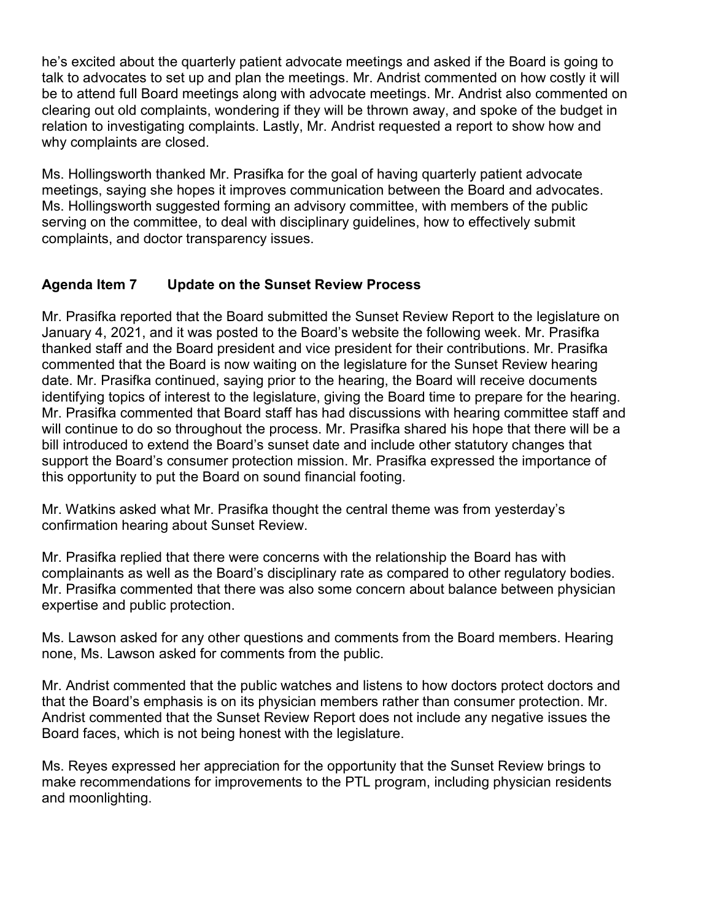talk to advocates to set up and plan the meetings. Mr. Andrist commented on how costly it will he's excited about the quarterly patient advocate meetings and asked if the Board is going to be to attend full Board meetings along with advocate meetings. Mr. Andrist also commented on clearing out old complaints, wondering if they will be thrown away, and spoke of the budget in relation to investigating complaints. Lastly, Mr. Andrist requested a report to show how and why complaints are closed.

Ms. Hollingsworth thanked Mr. Prasifka for the goal of having quarterly patient advocate meetings, saying she hopes it improves communication between the Board and advocates. Ms. Hollingsworth suggested forming an advisory committee, with members of the public serving on the committee, to deal with disciplinary guidelines, how to effectively submit complaints, and doctor transparency issues.

# **Agenda Item 7 Update on the Sunset Review Process**

Mr. Prasifka reported that the Board submitted the Sunset Review Report to the legislature on January 4, 2021, and it was posted to the Board's website the following week. Mr. Prasifka thanked staff and the Board president and vice president for their contributions. Mr. Prasifka commented that the Board is now waiting on the legislature for the Sunset Review hearing date. Mr. Prasifka continued, saying prior to the hearing, the Board will receive documents identifying topics of interest to the legislature, giving the Board time to prepare for the hearing. Mr. Prasifka commented that Board staff has had discussions with hearing committee staff and will continue to do so throughout the process. Mr. Prasifka shared his hope that there will be a bill introduced to extend the Board's sunset date and include other statutory changes that support the Board's consumer protection mission. Mr. Prasifka expressed the importance of this opportunity to put the Board on sound financial footing.

Mr. Watkins asked what Mr. Prasifka thought the central theme was from yesterday's confirmation hearing about Sunset Review.

 expertise and public protection. Mr. Prasifka replied that there were concerns with the relationship the Board has with complainants as well as the Board's disciplinary rate as compared to other regulatory bodies. Mr. Prasifka commented that there was also some concern about balance between physician

Ms. Lawson asked for any other questions and comments from the Board members. Hearing none, Ms. Lawson asked for comments from the public.

 Mr. Andrist commented that the public watches and listens to how doctors protect doctors and that the Board's emphasis is on its physician members rather than consumer protection. Mr. Andrist commented that the Sunset Review Report does not include any negative issues the Board faces, which is not being honest with the legislature.

 Ms. Reyes expressed her appreciation for the opportunity that the Sunset Review brings to make recommendations for improvements to the PTL program, including physician residents and moonlighting.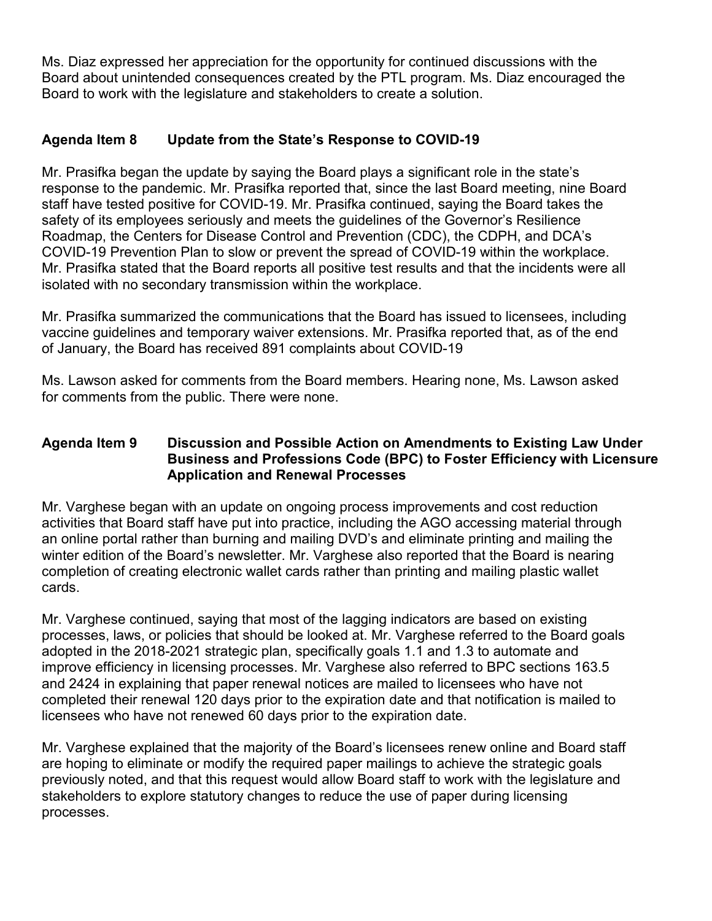Ms. Diaz expressed her appreciation for the opportunity for continued discussions with the Board about unintended consequences created by the PTL program. Ms. Diaz encouraged the Board to work with the legislature and stakeholders to create a solution.

# **Agenda Item 8 Update from the State's Response to COVID-19**

Mr. Prasifka began the update by saying the Board plays a significant role in the state's response to the pandemic. Mr. Prasifka reported that, since the last Board meeting, nine Board staff have tested positive for COVID-19. Mr. Prasifka continued, saying the Board takes the safety of its employees seriously and meets the guidelines of the Governor's Resilience Roadmap, the Centers for Disease Control and Prevention (CDC), the CDPH, and DCA's COVID-19 Prevention Plan to slow or prevent the spread of COVID-19 within the workplace. Mr. Prasifka stated that the Board reports all positive test results and that the incidents were all isolated with no secondary transmission within the workplace.

 Mr. Prasifka summarized the communications that the Board has issued to licensees, including vaccine guidelines and temporary waiver extensions. Mr. Prasifka reported that, as of the end of January, the Board has received 891 complaints about COVID-19

Ms. Lawson asked for comments from the Board members. Hearing none, Ms. Lawson asked for comments from the public. There were none.

#### **Agenda Item 9 Discussion and Possible Action on Amendments to Existing Law Under Business and Professions Code (BPC) to Foster Efficiency with Licensure Application and Renewal Processes**

cards. Mr. Varghese began with an update on ongoing process improvements and cost reduction activities that Board staff have put into practice, including the AGO accessing material through an online portal rather than burning and mailing DVD's and eliminate printing and mailing the winter edition of the Board's newsletter. Mr. Varghese also reported that the Board is nearing completion of creating electronic wallet cards rather than printing and mailing plastic wallet

Mr. Varghese continued, saying that most of the lagging indicators are based on existing processes, laws, or policies that should be looked at. Mr. Varghese referred to the Board goals adopted in the 2018-2021 strategic plan, specifically goals 1.1 and 1.3 to automate and improve efficiency in licensing processes. Mr. Varghese also referred to BPC sections 163.5 and 2424 in explaining that paper renewal notices are mailed to licensees who have not completed their renewal 120 days prior to the expiration date and that notification is mailed to licensees who have not renewed 60 days prior to the expiration date.

Mr. Varghese explained that the majority of the Board's licensees renew online and Board staff are hoping to eliminate or modify the required paper mailings to achieve the strategic goals previously noted, and that this request would allow Board staff to work with the legislature and stakeholders to explore statutory changes to reduce the use of paper during licensing processes.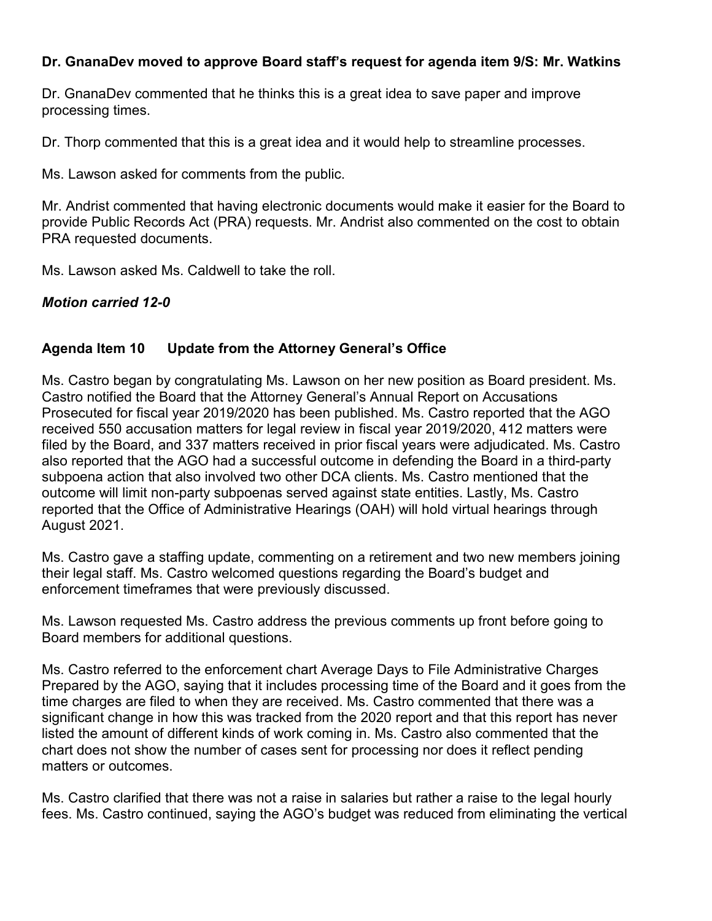#### **Dr. GnanaDev moved to approve Board staff's request for agenda item 9/S: Mr. Watkins**

Dr. GnanaDev commented that he thinks this is a great idea to save paper and improve processing times.

Dr. Thorp commented that this is a great idea and it would help to streamline processes.

Ms. Lawson asked for comments from the public.

Mr. Andrist commented that having electronic documents would make it easier for the Board to provide Public Records Act (PRA) requests. Mr. Andrist also commented on the cost to obtain PRA requested documents.

Ms. Lawson asked Ms. Caldwell to take the roll.

# *Motion carried 12-0*

#### **Agenda Item 10 Update from the Attorney General's Office**

 Ms. Castro began by congratulating Ms. Lawson on her new position as Board president. Ms. Prosecuted for fiscal year 2019/2020 has been published. Ms. Castro reported that the AGO Castro notified the Board that the Attorney General's Annual Report on Accusations received 550 accusation matters for legal review in fiscal year 2019/2020, 412 matters were filed by the Board, and 337 matters received in prior fiscal years were adjudicated. Ms. Castro also reported that the AGO had a successful outcome in defending the Board in a third-party subpoena action that also involved two other DCA clients. Ms. Castro mentioned that the outcome will limit non-party subpoenas served against state entities. Lastly, Ms. Castro reported that the Office of Administrative Hearings (OAH) will hold virtual hearings through August 2021.

 their legal staff. Ms. Castro welcomed questions regarding the Board's budget and Ms. Castro gave a staffing update, commenting on a retirement and two new members joining enforcement timeframes that were previously discussed.

Ms. Lawson requested Ms. Castro address the previous comments up front before going to Board members for additional questions.

Ms. Castro referred to the enforcement chart Average Days to File Administrative Charges Prepared by the AGO, saying that it includes processing time of the Board and it goes from the time charges are filed to when they are received. Ms. Castro commented that there was a significant change in how this was tracked from the 2020 report and that this report has never listed the amount of different kinds of work coming in. Ms. Castro also commented that the chart does not show the number of cases sent for processing nor does it reflect pending matters or outcomes.

Ms. Castro clarified that there was not a raise in salaries but rather a raise to the legal hourly fees. Ms. Castro continued, saying the AGO's budget was reduced from eliminating the vertical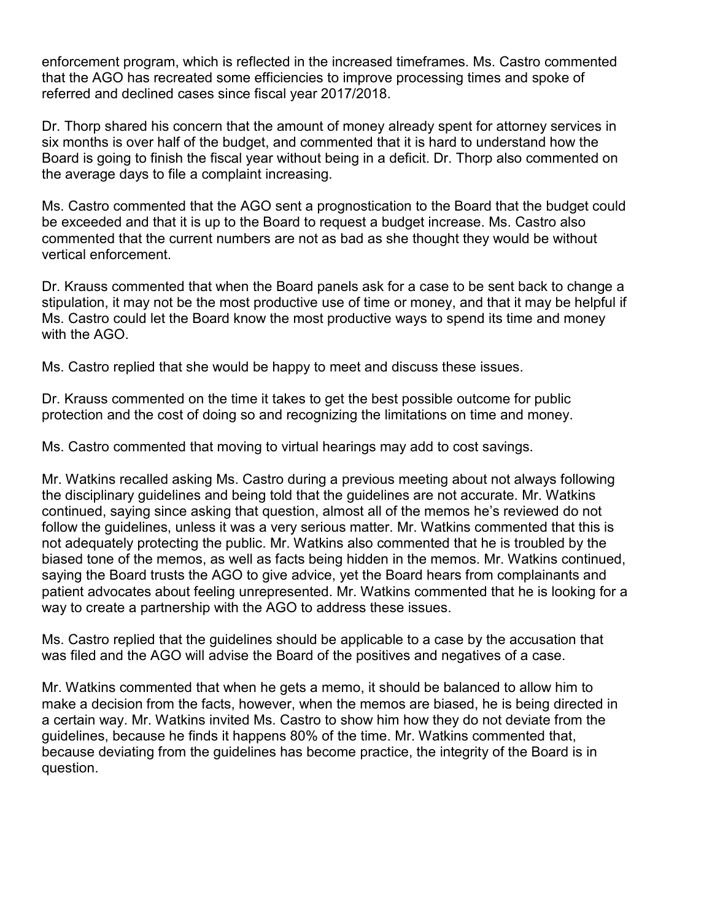enforcement program, which is reflected in the increased timeframes. Ms. Castro commented referred and declined cases since fiscal year 2017/2018. that the AGO has recreated some efficiencies to improve processing times and spoke of

 Dr. Thorp shared his concern that the amount of money already spent for attorney services in six months is over half of the budget, and commented that it is hard to understand how the the average days to file a complaint increasing. Board is going to finish the fiscal year without being in a deficit. Dr. Thorp also commented on

 be exceeded and that it is up to the Board to request a budget increase. Ms. Castro also Ms. Castro commented that the AGO sent a prognostication to the Board that the budget could commented that the current numbers are not as bad as she thought they would be without vertical enforcement.

 Dr. Krauss commented that when the Board panels ask for a case to be sent back to change a stipulation, it may not be the most productive use of time or money, and that it may be helpful if Ms. Castro could let the Board know the most productive ways to spend its time and money with the AGO

Ms. Castro replied that she would be happy to meet and discuss these issues.

Dr. Krauss commented on the time it takes to get the best possible outcome for public protection and the cost of doing so and recognizing the limitations on time and money.

Ms. Castro commented that moving to virtual hearings may add to cost savings.

 the disciplinary guidelines and being told that the guidelines are not accurate. Mr. Watkins follow the guidelines, unless it was a very serious matter. Mr. Watkins commented that this is biased tone of the memos, as well as facts being hidden in the memos. Mr. Watkins continued, saying the Board trusts the AGO to give advice, yet the Board hears from complainants and Mr. Watkins recalled asking Ms. Castro during a previous meeting about not always following continued, saying since asking that question, almost all of the memos he's reviewed do not not adequately protecting the public. Mr. Watkins also commented that he is troubled by the patient advocates about feeling unrepresented. Mr. Watkins commented that he is looking for a way to create a partnership with the AGO to address these issues.

Ms. Castro replied that the guidelines should be applicable to a case by the accusation that was filed and the AGO will advise the Board of the positives and negatives of a case.

 make a decision from the facts, however, when the memos are biased, he is being directed in Mr. Watkins commented that when he gets a memo, it should be balanced to allow him to a certain way. Mr. Watkins invited Ms. Castro to show him how they do not deviate from the guidelines, because he finds it happens 80% of the time. Mr. Watkins commented that, because deviating from the guidelines has become practice, the integrity of the Board is in question.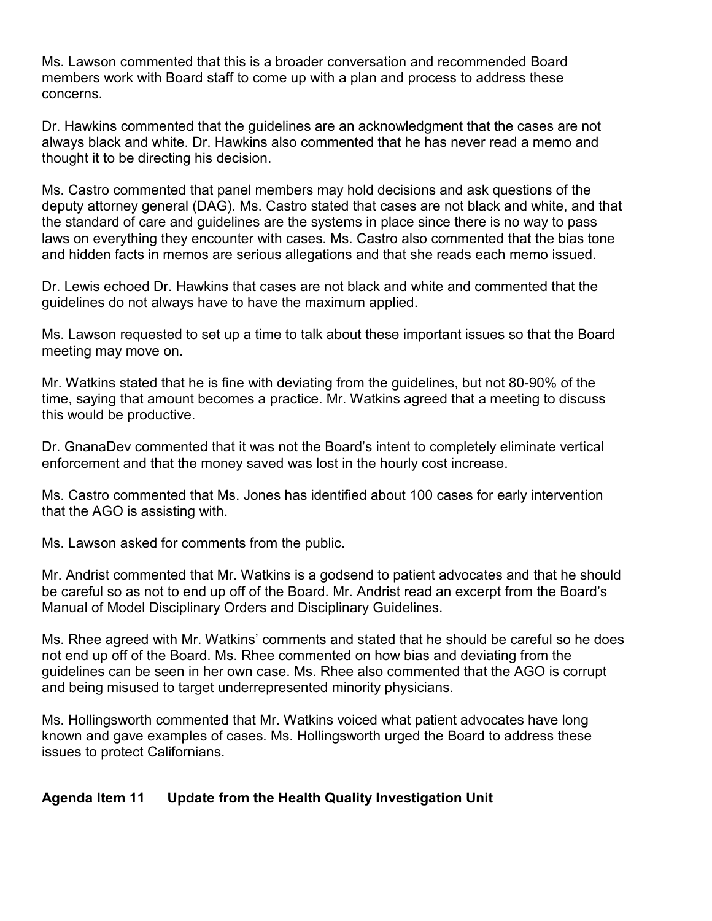Ms. Lawson commented that this is a broader conversation and recommended Board members work with Board staff to come up with a plan and process to address these concerns.

Dr. Hawkins commented that the guidelines are an acknowledgment that the cases are not always black and white. Dr. Hawkins also commented that he has never read a memo and thought it to be directing his decision.

 and hidden facts in memos are serious allegations and that she reads each memo issued. Ms. Castro commented that panel members may hold decisions and ask questions of the deputy attorney general (DAG). Ms. Castro stated that cases are not black and white, and that the standard of care and guidelines are the systems in place since there is no way to pass laws on everything they encounter with cases. Ms. Castro also commented that the bias tone

 Dr. Lewis echoed Dr. Hawkins that cases are not black and white and commented that the guidelines do not always have to have the maximum applied.

Ms. Lawson requested to set up a time to talk about these important issues so that the Board meeting may move on.

 Mr. Watkins stated that he is fine with deviating from the guidelines, but not 80-90% of the time, saying that amount becomes a practice. Mr. Watkins agreed that a meeting to discuss this would be productive.

Dr. GnanaDev commented that it was not the Board's intent to completely eliminate vertical enforcement and that the money saved was lost in the hourly cost increase.

Ms. Castro commented that Ms. Jones has identified about 100 cases for early intervention that the AGO is assisting with.

Ms. Lawson asked for comments from the public.

 Mr. Andrist commented that Mr. Watkins is a godsend to patient advocates and that he should be careful so as not to end up off of the Board. Mr. Andrist read an excerpt from the Board's Manual of Model Disciplinary Orders and Disciplinary Guidelines.

Ms. Rhee agreed with Mr. Watkins' comments and stated that he should be careful so he does not end up off of the Board. Ms. Rhee commented on how bias and deviating from the guidelines can be seen in her own case. Ms. Rhee also commented that the AGO is corrupt and being misused to target underrepresented minority physicians.

 Ms. Hollingsworth commented that Mr. Watkins voiced what patient advocates have long known and gave examples of cases. Ms. Hollingsworth urged the Board to address these issues to protect Californians.

# **Agenda Item 11 Update from the Health Quality Investigation Unit**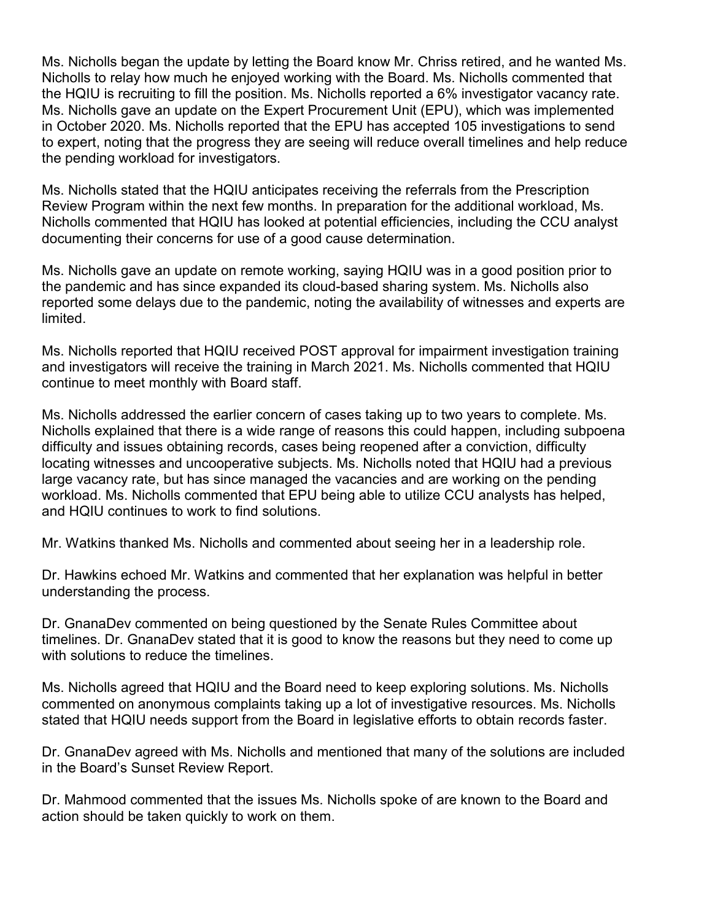to expert, noting that the progress they are seeing will reduce overall timelines and help reduce Ms. Nicholls began the update by letting the Board know Mr. Chriss retired, and he wanted Ms. Nicholls to relay how much he enjoyed working with the Board. Ms. Nicholls commented that the HQIU is recruiting to fill the position. Ms. Nicholls reported a 6% investigator vacancy rate. Ms. Nicholls gave an update on the Expert Procurement Unit (EPU), which was implemented in October 2020. Ms. Nicholls reported that the EPU has accepted 105 investigations to send the pending workload for investigators.

 Ms. Nicholls stated that the HQIU anticipates receiving the referrals from the Prescription documenting their concerns for use of a good cause determination. Review Program within the next few months. In preparation for the additional workload, Ms. Nicholls commented that HQIU has looked at potential efficiencies, including the CCU analyst

 reported some delays due to the pandemic, noting the availability of witnesses and experts are Ms. Nicholls gave an update on remote working, saying HQIU was in a good position prior to the pandemic and has since expanded its cloud-based sharing system. Ms. Nicholls also limited.

Ms. Nicholls reported that HQIU received POST approval for impairment investigation training and investigators will receive the training in March 2021. Ms. Nicholls commented that HQIU continue to meet monthly with Board staff.

 workload. Ms. Nicholls commented that EPU being able to utilize CCU analysts has helped, Ms. Nicholls addressed the earlier concern of cases taking up to two years to complete. Ms. Nicholls explained that there is a wide range of reasons this could happen, including subpoena difficulty and issues obtaining records, cases being reopened after a conviction, difficulty locating witnesses and uncooperative subjects. Ms. Nicholls noted that HQIU had a previous large vacancy rate, but has since managed the vacancies and are working on the pending and HQIU continues to work to find solutions.

Mr. Watkins thanked Ms. Nicholls and commented about seeing her in a leadership role.

Dr. Hawkins echoed Mr. Watkins and commented that her explanation was helpful in better understanding the process.

Dr. GnanaDev commented on being questioned by the Senate Rules Committee about timelines. Dr. GnanaDev stated that it is good to know the reasons but they need to come up with solutions to reduce the timelines.

Ms. Nicholls agreed that HQIU and the Board need to keep exploring solutions. Ms. Nicholls commented on anonymous complaints taking up a lot of investigative resources. Ms. Nicholls stated that HQIU needs support from the Board in legislative efforts to obtain records faster.

Dr. GnanaDev agreed with Ms. Nicholls and mentioned that many of the solutions are included in the Board's Sunset Review Report.

Dr. Mahmood commented that the issues Ms. Nicholls spoke of are known to the Board and action should be taken quickly to work on them.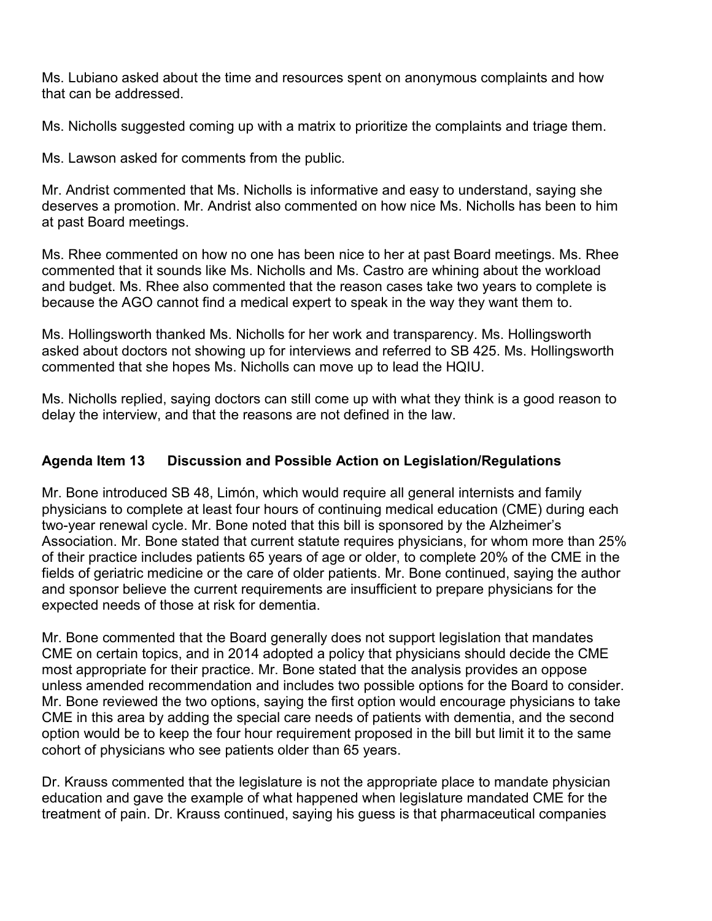Ms. Lubiano asked about the time and resources spent on anonymous complaints and how that can be addressed.

Ms. Nicholls suggested coming up with a matrix to prioritize the complaints and triage them.

Ms. Lawson asked for comments from the public.

at past Board meetings. Mr. Andrist commented that Ms. Nicholls is informative and easy to understand, saying she deserves a promotion. Mr. Andrist also commented on how nice Ms. Nicholls has been to him

at past Board meetings.<br>Ms. Rhee commented on how no one has been nice to her at past Board meetings. Ms. Rhee commented that it sounds like Ms. Nicholls and Ms. Castro are whining about the workload and budget. Ms. Rhee also commented that the reason cases take two years to complete is because the AGO cannot find a medical expert to speak in the way they want them to.

Ms. Hollingsworth thanked Ms. Nicholls for her work and transparency. Ms. Hollingsworth asked about doctors not showing up for interviews and referred to SB 425. Ms. Hollingsworth commented that she hopes Ms. Nicholls can move up to lead the HQIU.

Ms. Nicholls replied, saying doctors can still come up with what they think is a good reason to delay the interview, and that the reasons are not defined in the law.

#### **Agenda Item 13 Discussion and Possible Action on Legislation/Regulations**

 Mr. Bone introduced SB 48, Limón, which would require all general internists and family Association. Mr. Bone stated that current statute requires physicians, for whom more than 25% and sponsor believe the current requirements are insufficient to prepare physicians for the physicians to complete at least four hours of continuing medical education (CME) during each two-year renewal cycle. Mr. Bone noted that this bill is sponsored by the Alzheimer's of their practice includes patients 65 years of age or older, to complete 20% of the CME in the fields of geriatric medicine or the care of older patients. Mr. Bone continued, saying the author expected needs of those at risk for dementia.

 CME in this area by adding the special care needs of patients with dementia, and the second Mr. Bone commented that the Board generally does not support legislation that mandates CME on certain topics, and in 2014 adopted a policy that physicians should decide the CME most appropriate for their practice. Mr. Bone stated that the analysis provides an oppose unless amended recommendation and includes two possible options for the Board to consider. Mr. Bone reviewed the two options, saying the first option would encourage physicians to take option would be to keep the four hour requirement proposed in the bill but limit it to the same cohort of physicians who see patients older than 65 years.

Dr. Krauss commented that the legislature is not the appropriate place to mandate physician education and gave the example of what happened when legislature mandated CME for the treatment of pain. Dr. Krauss continued, saying his guess is that pharmaceutical companies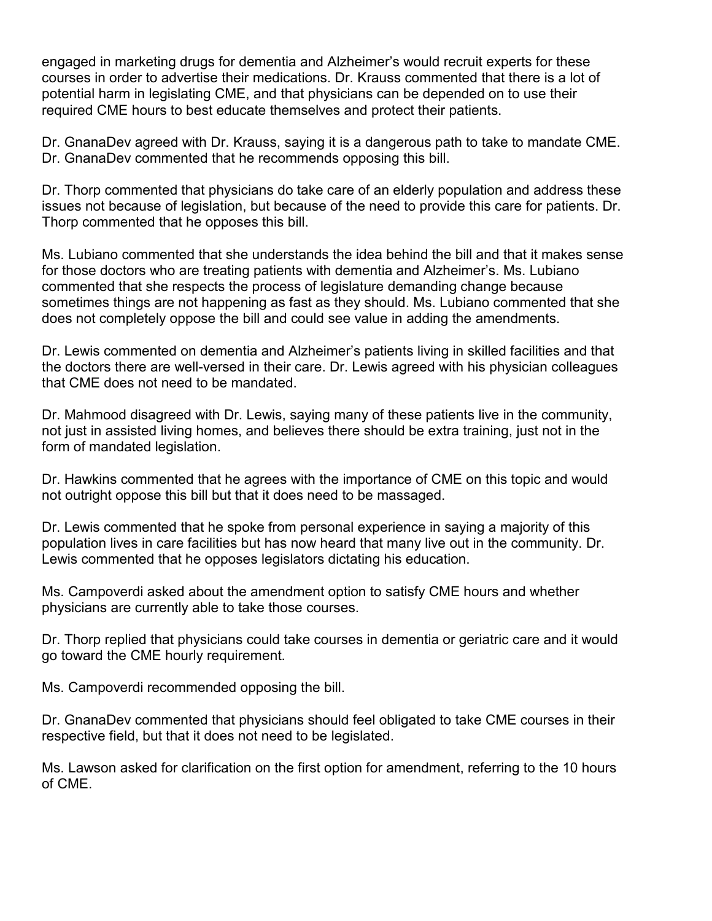engaged in marketing drugs for dementia and Alzheimer's would recruit experts for these required CME hours to best educate themselves and protect their patients. courses in order to advertise their medications. Dr. Krauss commented that there is a lot of potential harm in legislating CME, and that physicians can be depended on to use their

Dr. GnanaDev agreed with Dr. Krauss, saying it is a dangerous path to take to mandate CME. Dr. GnanaDev commented that he recommends opposing this bill.

 Dr. Thorp commented that physicians do take care of an elderly population and address these issues not because of legislation, but because of the need to provide this care for patients. Dr. Thorp commented that he opposes this bill.

 sometimes things are not happening as fast as they should. Ms. Lubiano commented that she Ms. Lubiano commented that she understands the idea behind the bill and that it makes sense for those doctors who are treating patients with dementia and Alzheimer's. Ms. Lubiano commented that she respects the process of legislature demanding change because does not completely oppose the bill and could see value in adding the amendments.

 Dr. Lewis commented on dementia and Alzheimer's patients living in skilled facilities and that the doctors there are well-versed in their care. Dr. Lewis agreed with his physician colleagues that CME does not need to be mandated.

Dr. Mahmood disagreed with Dr. Lewis, saying many of these patients live in the community, not just in assisted living homes, and believes there should be extra training, just not in the form of mandated legislation.

 not outright oppose this bill but that it does need to be massaged. Dr. Hawkins commented that he agrees with the importance of CME on this topic and would

Dr. Lewis commented that he spoke from personal experience in saying a majority of this population lives in care facilities but has now heard that many live out in the community. Dr. Lewis commented that he opposes legislators dictating his education.

Ms. Campoverdi asked about the amendment option to satisfy CME hours and whether physicians are currently able to take those courses.

Dr. Thorp replied that physicians could take courses in dementia or geriatric care and it would go toward the CME hourly requirement.

Ms. Campoverdi recommended opposing the bill.

Dr. GnanaDev commented that physicians should feel obligated to take CME courses in their respective field, but that it does not need to be legislated.

Ms. Lawson asked for clarification on the first option for amendment, referring to the 10 hours of CME.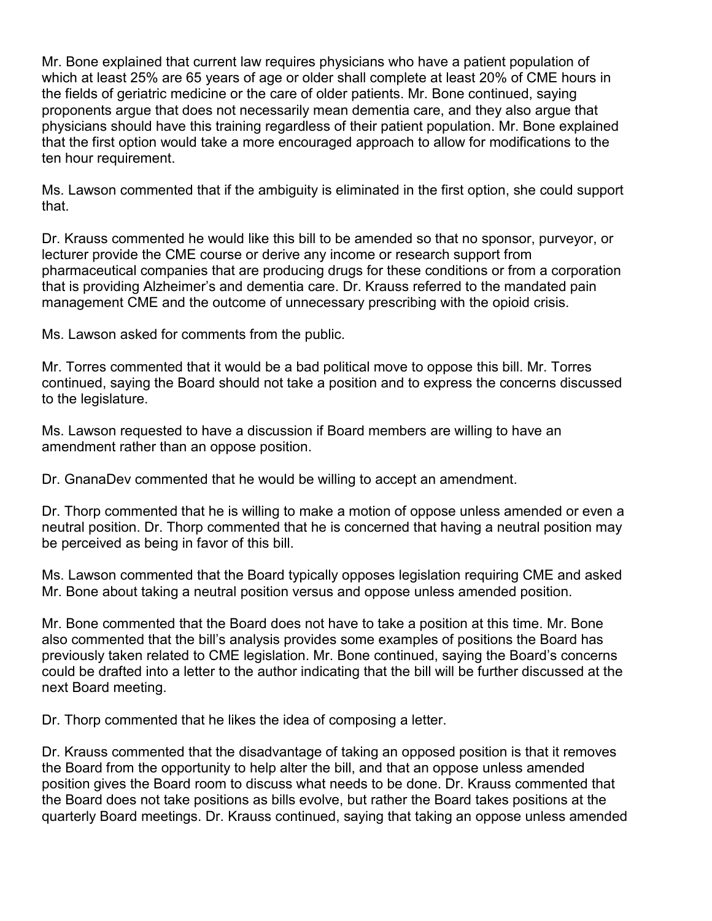which at least 25% are 65 years of age or older shall complete at least 20% of CME hours in proponents argue that does not necessarily mean dementia care, and they also argue that Mr. Bone explained that current law requires physicians who have a patient population of the fields of geriatric medicine or the care of older patients. Mr. Bone continued, saying physicians should have this training regardless of their patient population. Mr. Bone explained that the first option would take a more encouraged approach to allow for modifications to the ten hour requirement.

Ms. Lawson commented that if the ambiguity is eliminated in the first option, she could support that.

 pharmaceutical companies that are producing drugs for these conditions or from a corporation that is providing Alzheimer's and dementia care. Dr. Krauss referred to the mandated pain Dr. Krauss commented he would like this bill to be amended so that no sponsor, purveyor, or lecturer provide the CME course or derive any income or research support from management CME and the outcome of unnecessary prescribing with the opioid crisis.

Ms. Lawson asked for comments from the public.

Mr. Torres commented that it would be a bad political move to oppose this bill. Mr. Torres continued, saying the Board should not take a position and to express the concerns discussed to the legislature.

 amendment rather than an oppose position. Ms. Lawson requested to have a discussion if Board members are willing to have an

Dr. GnanaDev commented that he would be willing to accept an amendment.

 Dr. Thorp commented that he is willing to make a motion of oppose unless amended or even a be perceived as being in favor of this bill. neutral position. Dr. Thorp commented that he is concerned that having a neutral position may

 Mr. Bone about taking a neutral position versus and oppose unless amended position. Ms. Lawson commented that the Board typically opposes legislation requiring CME and asked

 also commented that the bill's analysis provides some examples of positions the Board has could be drafted into a letter to the author indicating that the bill will be further discussed at the Mr. Bone commented that the Board does not have to take a position at this time. Mr. Bone previously taken related to CME legislation. Mr. Bone continued, saying the Board's concerns next Board meeting.

Dr. Thorp commented that he likes the idea of composing a letter.

 the Board does not take positions as bills evolve, but rather the Board takes positions at the Dr. Krauss commented that the disadvantage of taking an opposed position is that it removes the Board from the opportunity to help alter the bill, and that an oppose unless amended position gives the Board room to discuss what needs to be done. Dr. Krauss commented that quarterly Board meetings. Dr. Krauss continued, saying that taking an oppose unless amended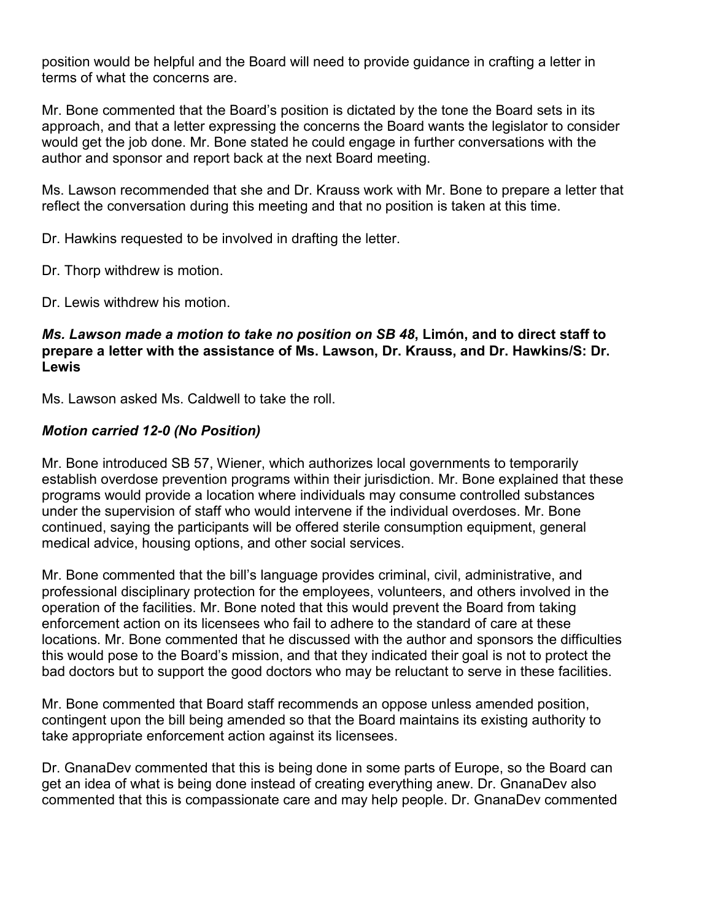position would be helpful and the Board will need to provide guidance in crafting a letter in terms of what the concerns are.

 approach, and that a letter expressing the concerns the Board wants the legislator to consider Mr. Bone commented that the Board's position is dictated by the tone the Board sets in its would get the job done. Mr. Bone stated he could engage in further conversations with the author and sponsor and report back at the next Board meeting.

 Ms. Lawson recommended that she and Dr. Krauss work with Mr. Bone to prepare a letter that reflect the conversation during this meeting and that no position is taken at this time.

Dr. Hawkins requested to be involved in drafting the letter.

Dr. Thorp withdrew is motion.

Dr. Lewis withdrew his motion.

#### *Ms. Lawson made a motion to take no position on SB 48***, Limón, and to direct staff to prepare a letter with the assistance of Ms. Lawson, Dr. Krauss, and Dr. Hawkins/S: Dr. Lewis**

Ms. Lawson asked Ms. Caldwell to take the roll.

# *Motion carried 12-0 (No Position)*

 establish overdose prevention programs within their jurisdiction. Mr. Bone explained that these Mr. Bone introduced SB 57, Wiener, which authorizes local governments to temporarily programs would provide a location where individuals may consume controlled substances under the supervision of staff who would intervene if the individual overdoses. Mr. Bone continued, saying the participants will be offered sterile consumption equipment, general medical advice, housing options, and other social services.

 enforcement action on its licensees who fail to adhere to the standard of care at these Mr. Bone commented that the bill's language provides criminal, civil, administrative, and professional disciplinary protection for the employees, volunteers, and others involved in the operation of the facilities. Mr. Bone noted that this would prevent the Board from taking locations. Mr. Bone commented that he discussed with the author and sponsors the difficulties this would pose to the Board's mission, and that they indicated their goal is not to protect the bad doctors but to support the good doctors who may be reluctant to serve in these facilities.

 take appropriate enforcement action against its licensees. Mr. Bone commented that Board staff recommends an oppose unless amended position, contingent upon the bill being amended so that the Board maintains its existing authority to

Dr. GnanaDev commented that this is being done in some parts of Europe, so the Board can get an idea of what is being done instead of creating everything anew. Dr. GnanaDev also commented that this is compassionate care and may help people. Dr. GnanaDev commented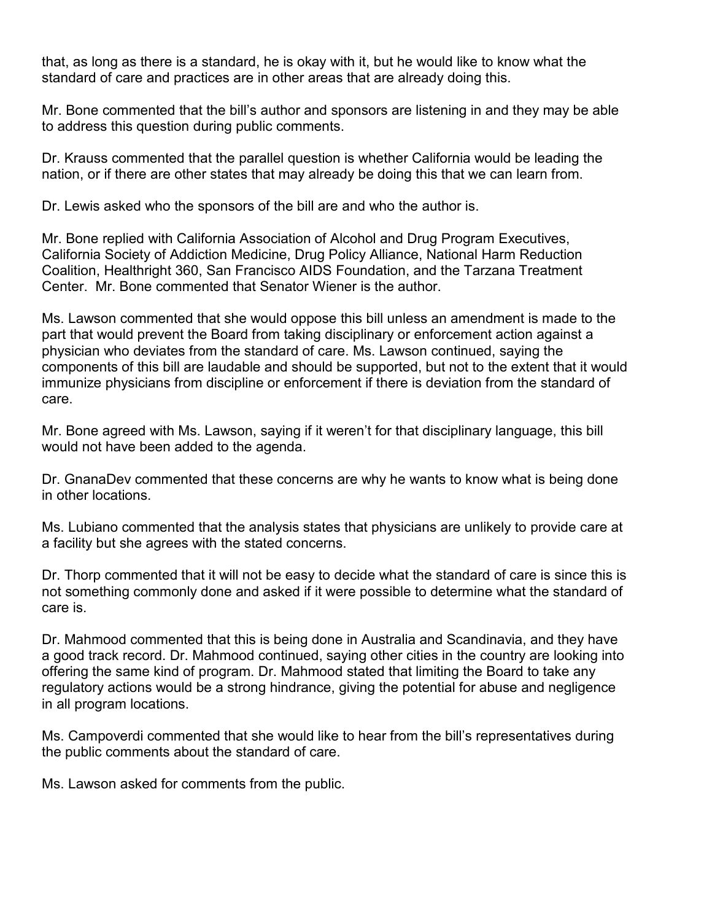that, as long as there is a standard, he is okay with it, but he would like to know what the standard of care and practices are in other areas that are already doing this.

Mr. Bone commented that the bill's author and sponsors are listening in and they may be able to address this question during public comments.

Dr. Krauss commented that the parallel question is whether California would be leading the nation, or if there are other states that may already be doing this that we can learn from.

Dr. Lewis asked who the sponsors of the bill are and who the author is.

 Coalition, Healthright 360, San Francisco AIDS Foundation, and the Tarzana Treatment Mr. Bone replied with California Association of Alcohol and Drug Program Executives, California Society of Addiction Medicine, Drug Policy Alliance, National Harm Reduction Center. Mr. Bone commented that Senator Wiener is the author.

 components of this bill are laudable and should be supported, but not to the extent that it would immunize physicians from discipline or enforcement if there is deviation from the standard of Ms. Lawson commented that she would oppose this bill unless an amendment is made to the part that would prevent the Board from taking disciplinary or enforcement action against a physician who deviates from the standard of care. Ms. Lawson continued, saying the care.

Mr. Bone agreed with Ms. Lawson, saying if it weren't for that disciplinary language, this bill would not have been added to the agenda.

Dr. GnanaDev commented that these concerns are why he wants to know what is being done in other locations.

Ms. Lubiano commented that the analysis states that physicians are unlikely to provide care at a facility but she agrees with the stated concerns.

Dr. Thorp commented that it will not be easy to decide what the standard of care is since this is not something commonly done and asked if it were possible to determine what the standard of care is.

Dr. Mahmood commented that this is being done in Australia and Scandinavia, and they have a good track record. Dr. Mahmood continued, saying other cities in the country are looking into offering the same kind of program. Dr. Mahmood stated that limiting the Board to take any regulatory actions would be a strong hindrance, giving the potential for abuse and negligence in all program locations.

 Ms. Campoverdi commented that she would like to hear from the bill's representatives during the public comments about the standard of care.

Ms. Lawson asked for comments from the public.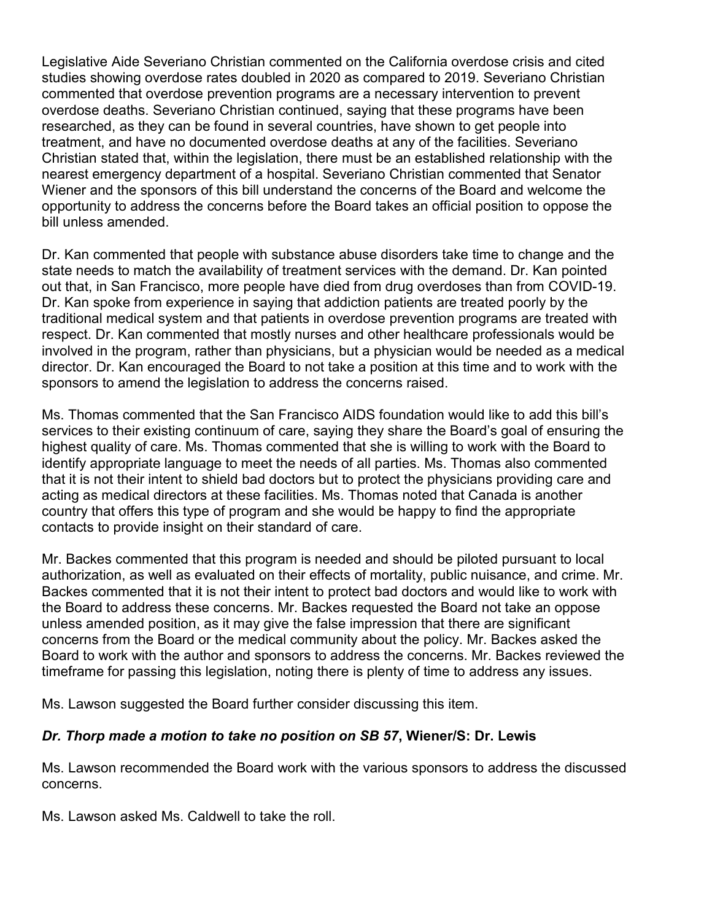studies showing overdose rates doubled in 2020 as compared to 2019. Severiano Christian overdose deaths. Severiano Christian continued, saying that these programs have been nearest emergency department of a hospital. Severiano Christian commented that Senator Wiener and the sponsors of this bill understand the concerns of the Board and welcome the Legislative Aide Severiano Christian commented on the California overdose crisis and cited commented that overdose prevention programs are a necessary intervention to prevent researched, as they can be found in several countries, have shown to get people into treatment, and have no documented overdose deaths at any of the facilities. Severiano Christian stated that, within the legislation, there must be an established relationship with the opportunity to address the concerns before the Board takes an official position to oppose the bill unless amended.

Dr. Kan commented that people with substance abuse disorders take time to change and the state needs to match the availability of treatment services with the demand. Dr. Kan pointed out that, in San Francisco, more people have died from drug overdoses than from COVID-19. Dr. Kan spoke from experience in saying that addiction patients are treated poorly by the traditional medical system and that patients in overdose prevention programs are treated with respect. Dr. Kan commented that mostly nurses and other healthcare professionals would be involved in the program, rather than physicians, but a physician would be needed as a medical director. Dr. Kan encouraged the Board to not take a position at this time and to work with the sponsors to amend the legislation to address the concerns raised.

 acting as medical directors at these facilities. Ms. Thomas noted that Canada is another Ms. Thomas commented that the San Francisco AIDS foundation would like to add this bill's services to their existing continuum of care, saying they share the Board's goal of ensuring the highest quality of care. Ms. Thomas commented that she is willing to work with the Board to identify appropriate language to meet the needs of all parties. Ms. Thomas also commented that it is not their intent to shield bad doctors but to protect the physicians providing care and country that offers this type of program and she would be happy to find the appropriate contacts to provide insight on their standard of care.

 authorization, as well as evaluated on their effects of mortality, public nuisance, and crime. Mr. unless amended position, as it may give the false impression that there are significant timeframe for passing this legislation, noting there is plenty of time to address any issues. Mr. Backes commented that this program is needed and should be piloted pursuant to local Backes commented that it is not their intent to protect bad doctors and would like to work with the Board to address these concerns. Mr. Backes requested the Board not take an oppose concerns from the Board or the medical community about the policy. Mr. Backes asked the Board to work with the author and sponsors to address the concerns. Mr. Backes reviewed the

Ms. Lawson suggested the Board further consider discussing this item.

# *Dr. Thorp made a motion to take no position on SB 57***, Wiener/S: Dr. Lewis**

 concerns. Ms. Lawson recommended the Board work with the various sponsors to address the discussed

Ms. Lawson asked Ms. Caldwell to take the roll.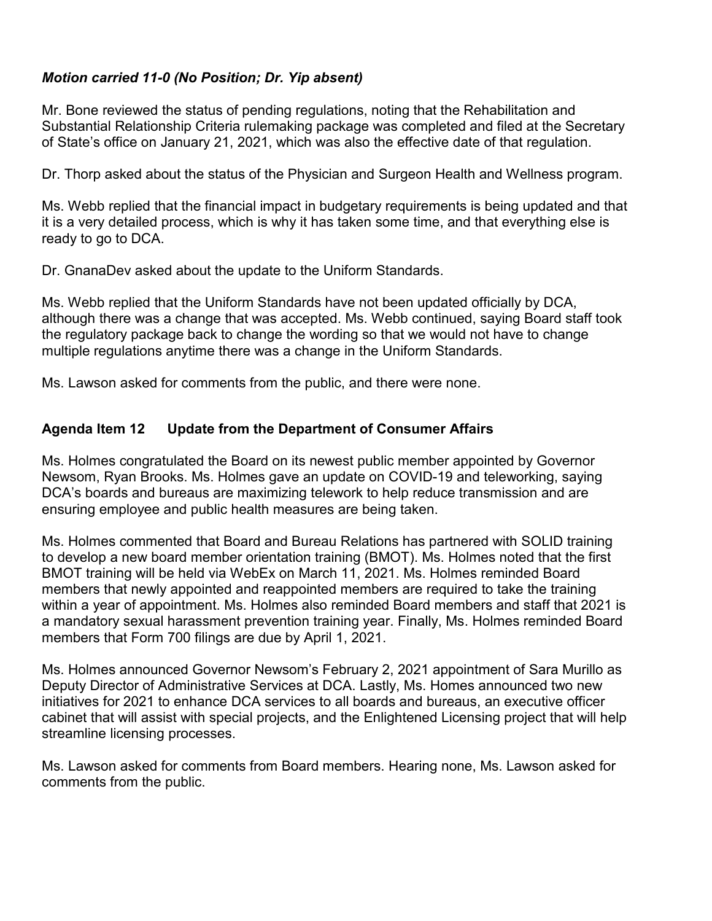# *Motion carried 11-0 (No Position; Dr. Yip absent)*

 Mr. Bone reviewed the status of pending regulations, noting that the Rehabilitation and Substantial Relationship Criteria rulemaking package was completed and filed at the Secretary of State's office on January 21, 2021, which was also the effective date of that regulation.

Dr. Thorp asked about the status of the Physician and Surgeon Health and Wellness program.

 it is a very detailed process, which is why it has taken some time, and that everything else is Ms. Webb replied that the financial impact in budgetary requirements is being updated and that ready to go to DCA.

Dr. GnanaDev asked about the update to the Uniform Standards.

Ms. Webb replied that the Uniform Standards have not been updated officially by DCA, although there was a change that was accepted. Ms. Webb continued, saying Board staff took the regulatory package back to change the wording so that we would not have to change multiple regulations anytime there was a change in the Uniform Standards.

Ms. Lawson asked for comments from the public, and there were none.

#### **Agenda Item 12 Update from the Department of Consumer Affairs**

Ms. Holmes congratulated the Board on its newest public member appointed by Governor Newsom, Ryan Brooks. Ms. Holmes gave an update on COVID-19 and teleworking, saying DCA's boards and bureaus are maximizing telework to help reduce transmission and are ensuring employee and public health measures are being taken.

 Ms. Holmes commented that Board and Bureau Relations has partnered with SOLID training within a year of appointment. Ms. Holmes also reminded Board members and staff that 2021 is to develop a new board member orientation training (BMOT). Ms. Holmes noted that the first BMOT training will be held via WebEx on March 11, 2021. Ms. Holmes reminded Board members that newly appointed and reappointed members are required to take the training a mandatory sexual harassment prevention training year. Finally, Ms. Holmes reminded Board members that Form 700 filings are due by April 1, 2021.

 Ms. Holmes announced Governor Newsom's February 2, 2021 appointment of Sara Murillo as initiatives for 2021 to enhance DCA services to all boards and bureaus, an executive officer Deputy Director of Administrative Services at DCA. Lastly, Ms. Homes announced two new cabinet that will assist with special projects, and the Enlightened Licensing project that will help streamline licensing processes.

Ms. Lawson asked for comments from Board members. Hearing none, Ms. Lawson asked for comments from the public.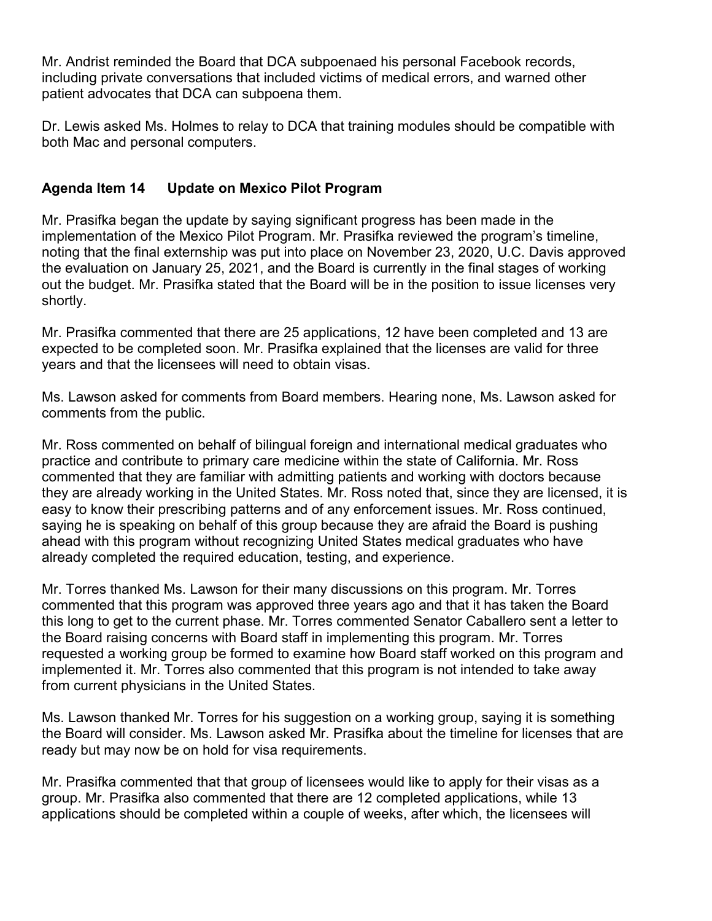Mr. Andrist reminded the Board that DCA subpoenaed his personal Facebook records, including private conversations that included victims of medical errors, and warned other patient advocates that DCA can subpoena them.

 Dr. Lewis asked Ms. Holmes to relay to DCA that training modules should be compatible with both Mac and personal computers.

# **Agenda Item 14 Update on Mexico Pilot Program**

Mr. Prasifka began the update by saying significant progress has been made in the implementation of the Mexico Pilot Program. Mr. Prasifka reviewed the program's timeline, noting that the final externship was put into place on November 23, 2020, U.C. Davis approved the evaluation on January 25, 2021, and the Board is currently in the final stages of working out the budget. Mr. Prasifka stated that the Board will be in the position to issue licenses very shortly.

 expected to be completed soon. Mr. Prasifka explained that the licenses are valid for three Mr. Prasifka commented that there are 25 applications, 12 have been completed and 13 are years and that the licensees will need to obtain visas.

Ms. Lawson asked for comments from Board members. Hearing none, Ms. Lawson asked for comments from the public.

 saying he is speaking on behalf of this group because they are afraid the Board is pushing Mr. Ross commented on behalf of bilingual foreign and international medical graduates who practice and contribute to primary care medicine within the state of California. Mr. Ross commented that they are familiar with admitting patients and working with doctors because they are already working in the United States. Mr. Ross noted that, since they are licensed, it is easy to know their prescribing patterns and of any enforcement issues. Mr. Ross continued, ahead with this program without recognizing United States medical graduates who have already completed the required education, testing, and experience.

Mr. Torres thanked Ms. Lawson for their many discussions on this program. Mr. Torres commented that this program was approved three years ago and that it has taken the Board this long to get to the current phase. Mr. Torres commented Senator Caballero sent a letter to the Board raising concerns with Board staff in implementing this program. Mr. Torres requested a working group be formed to examine how Board staff worked on this program and implemented it. Mr. Torres also commented that this program is not intended to take away from current physicians in the United States.

Ms. Lawson thanked Mr. Torres for his suggestion on a working group, saying it is something the Board will consider. Ms. Lawson asked Mr. Prasifka about the timeline for licenses that are ready but may now be on hold for visa requirements.

Mr. Prasifka commented that that group of licensees would like to apply for their visas as a group. Mr. Prasifka also commented that there are 12 completed applications, while 13 applications should be completed within a couple of weeks, after which, the licensees will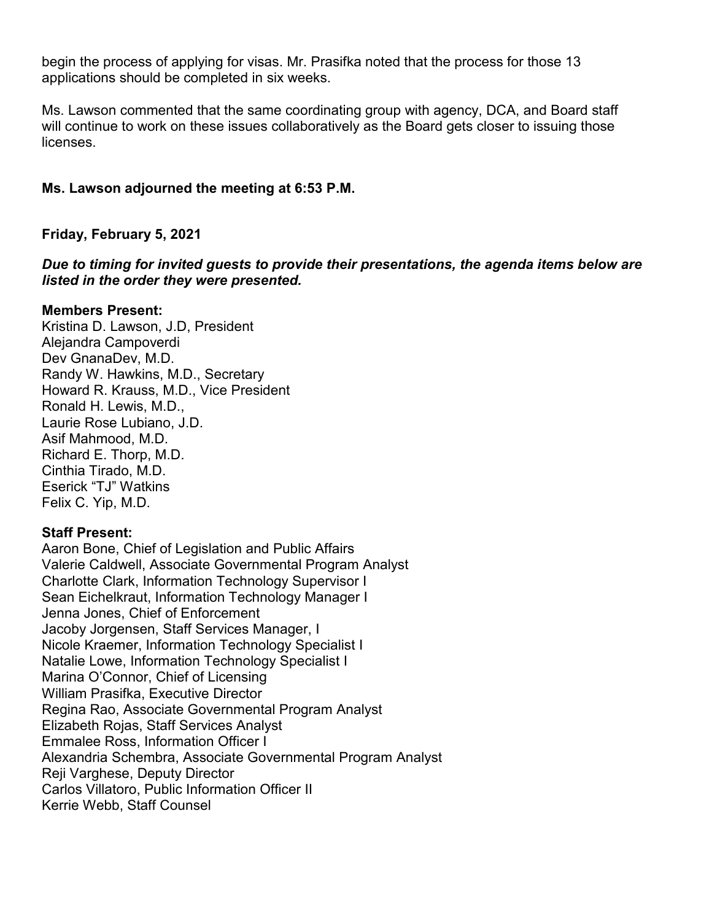begin the process of applying for visas. Mr. Prasifka noted that the process for those 13 applications should be completed in six weeks.

Ms. Lawson commented that the same coordinating group with agency, DCA, and Board staff will continue to work on these issues collaboratively as the Board gets closer to issuing those **licenses** 

# **Ms. Lawson adjourned the meeting at 6:53 P.M.**

**Friday, February 5, 2021** 

*Due to timing for invited guests to provide their presentations, the agenda items below are listed in the order they were presented.* 

#### **Members Present:**

Kristina D. Lawson, J.D, President Alejandra Campoverdi Dev GnanaDev, M.D. Randy W. Hawkins, M.D., Secretary Howard R. Krauss, M.D., Vice President Ronald H. Lewis, M.D., Laurie Rose Lubiano, J.D. Asif Mahmood, M.D. Richard E. Thorp, M.D. Cinthia Tirado, M.D. Eserick "TJ" Watkins Felix C. Yip, M.D.

# **Staff Present:**

Aaron Bone, Chief of Legislation and Public Affairs Valerie Caldwell, Associate Governmental Program Analyst Charlotte Clark, Information Technology Supervisor I Sean Eichelkraut, Information Technology Manager I Jenna Jones, Chief of Enforcement Jacoby Jorgensen, Staff Services Manager, I Nicole Kraemer, Information Technology Specialist I Natalie Lowe, Information Technology Specialist I Marina O'Connor, Chief of Licensing William Prasifka, Executive Director Regina Rao, Associate Governmental Program Analyst Elizabeth Rojas, Staff Services Analyst Emmalee Ross, Information Officer I Alexandria Schembra, Associate Governmental Program Analyst Reji Varghese, Deputy Director Carlos Villatoro, Public Information Officer II Kerrie Webb, Staff Counsel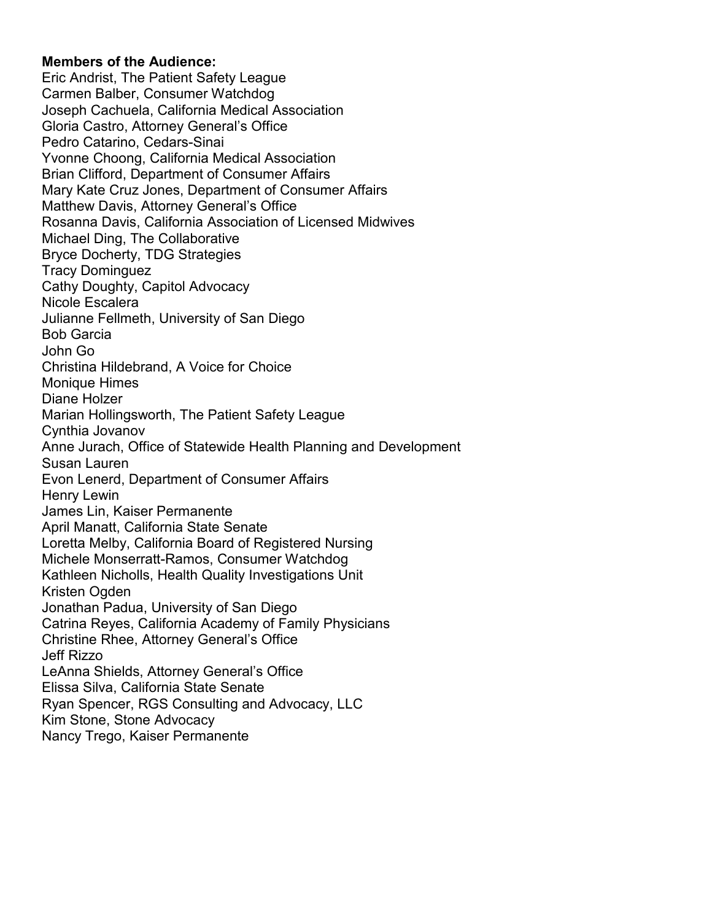#### **Members of the Audience:**

 Christina Hildebrand, A Voice for Choice Jonathan Padua, University of San Diego Eric Andrist, The Patient Safety League Carmen Balber, Consumer Watchdog Joseph Cachuela, California Medical Association Gloria Castro, Attorney General's Office Pedro Catarino, Cedars-Sinai Yvonne Choong, California Medical Association Brian Clifford, Department of Consumer Affairs Mary Kate Cruz Jones, Department of Consumer Affairs Matthew Davis, Attorney General's Office Rosanna Davis, California Association of Licensed Midwives Michael Ding, The Collaborative Bryce Docherty, TDG Strategies Tracy Dominguez Cathy Doughty, Capitol Advocacy Nicole Escalera Julianne Fellmeth, University of San Diego Bob Garcia John Go Monique Himes Diane Holzer Marian Hollingsworth, The Patient Safety League Cynthia Jovanov Anne Jurach, Office of Statewide Health Planning and Development Susan Lauren Evon Lenerd, Department of Consumer Affairs Henry Lewin James Lin, Kaiser Permanente April Manatt, California State Senate Loretta Melby, California Board of Registered Nursing Michele Monserratt-Ramos, Consumer Watchdog Kathleen Nicholls, Health Quality Investigations Unit Kristen Ogden Catrina Reyes, California Academy of Family Physicians Christine Rhee, Attorney General's Office Jeff Rizzo LeAnna Shields, Attorney General's Office Elissa Silva, California State Senate Ryan Spencer, RGS Consulting and Advocacy, LLC Kim Stone, Stone Advocacy Nancy Trego, Kaiser Permanente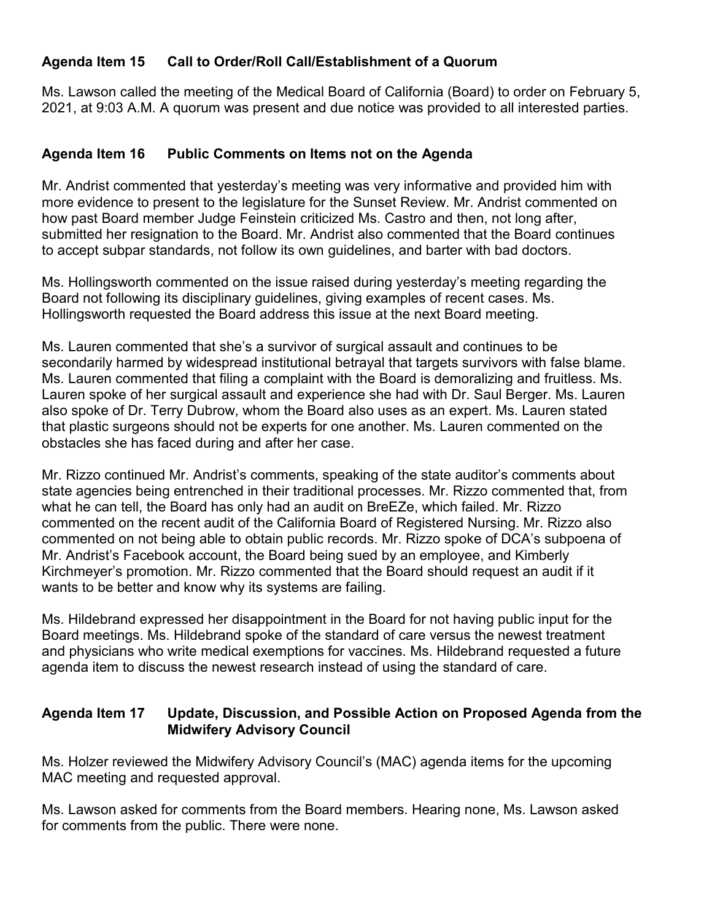#### **Agenda Item 15 Call to Order/Roll Call/Establishment of a Quorum**

 2021, at 9:03 A.M. A quorum was present and due notice was provided to all interested parties. Ms. Lawson called the meeting of the Medical Board of California (Board) to order on February 5,

#### **Agenda Item 16 Public Comments on Items not on the Agenda**

 to accept subpar standards, not follow its own guidelines, and barter with bad doctors. Mr. Andrist commented that yesterday's meeting was very informative and provided him with more evidence to present to the legislature for the Sunset Review. Mr. Andrist commented on how past Board member Judge Feinstein criticized Ms. Castro and then, not long after, submitted her resignation to the Board. Mr. Andrist also commented that the Board continues

 Board not following its disciplinary guidelines, giving examples of recent cases. Ms. Ms. Hollingsworth commented on the issue raised during yesterday's meeting regarding the Hollingsworth requested the Board address this issue at the next Board meeting.

 secondarily harmed by widespread institutional betrayal that targets survivors with false blame. obstacles she has faced during and after her case. Ms. Lauren commented that she's a survivor of surgical assault and continues to be Ms. Lauren commented that filing a complaint with the Board is demoralizing and fruitless. Ms. Lauren spoke of her surgical assault and experience she had with Dr. Saul Berger. Ms. Lauren also spoke of Dr. Terry Dubrow, whom the Board also uses as an expert. Ms. Lauren stated that plastic surgeons should not be experts for one another. Ms. Lauren commented on the

 state agencies being entrenched in their traditional processes. Mr. Rizzo commented that, from what he can tell, the Board has only had an audit on BreEZe, which failed. Mr. Rizzo commented on the recent audit of the California Board of Registered Nursing. Mr. Rizzo also wants to be better and know why its systems are failing. Mr. Rizzo continued Mr. Andrist's comments, speaking of the state auditor's comments about commented on not being able to obtain public records. Mr. Rizzo spoke of DCA's subpoena of Mr. Andrist's Facebook account, the Board being sued by an employee, and Kimberly Kirchmeyer's promotion. Mr. Rizzo commented that the Board should request an audit if it

Ms. Hildebrand expressed her disappointment in the Board for not having public input for the Board meetings. Ms. Hildebrand spoke of the standard of care versus the newest treatment and physicians who write medical exemptions for vaccines. Ms. Hildebrand requested a future agenda item to discuss the newest research instead of using the standard of care.

#### **Agenda Item 17 Update, Discussion, and Possible Action on Proposed Agenda from the Midwifery Advisory Council**

Ms. Holzer reviewed the Midwifery Advisory Council's (MAC) agenda items for the upcoming MAC meeting and requested approval.

 Ms. Lawson asked for comments from the Board members. Hearing none, Ms. Lawson asked for comments from the public. There were none.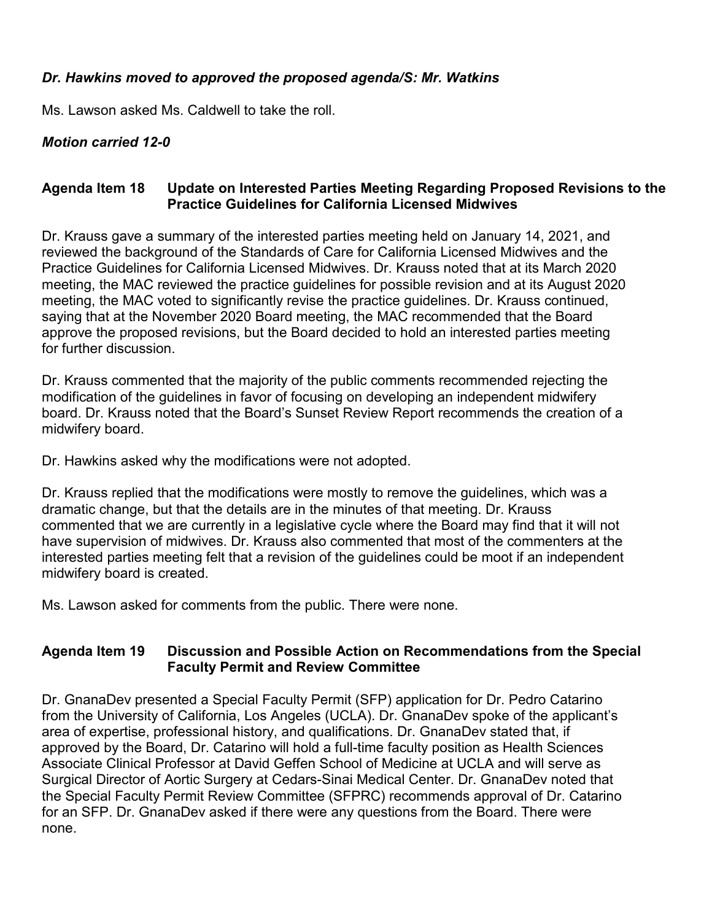#### *Dr. Hawkins moved to approved the proposed agenda/S: Mr. Watkins*

Ms. Lawson asked Ms. Caldwell to take the roll.

# *Motion carried 12-0*

## **Agenda Item 18 Update on Interested Parties Meeting Regarding Proposed Revisions to the Practice Guidelines for California Licensed Midwives**

 reviewed the background of the Standards of Care for California Licensed Midwives and the Dr. Krauss gave a summary of the interested parties meeting held on January 14, 2021, and Practice Guidelines for California Licensed Midwives. Dr. Krauss noted that at its March 2020 meeting, the MAC reviewed the practice guidelines for possible revision and at its August 2020 meeting, the MAC voted to significantly revise the practice guidelines. Dr. Krauss continued, saying that at the November 2020 Board meeting, the MAC recommended that the Board approve the proposed revisions, but the Board decided to hold an interested parties meeting for further discussion.

 modification of the guidelines in favor of focusing on developing an independent midwifery Dr. Krauss commented that the majority of the public comments recommended rejecting the board. Dr. Krauss noted that the Board's Sunset Review Report recommends the creation of a midwifery board.

Dr. Hawkins asked why the modifications were not adopted.

 dramatic change, but that the details are in the minutes of that meeting. Dr. Krauss commented that we are currently in a legislative cycle where the Board may find that it will not Dr. Krauss replied that the modifications were mostly to remove the guidelines, which was a have supervision of midwives. Dr. Krauss also commented that most of the commenters at the interested parties meeting felt that a revision of the guidelines could be moot if an independent midwifery board is created.

Ms. Lawson asked for comments from the public. There were none.

#### **Agenda Item 19 Discussion and Possible Action on Recommendations from the Special Faculty Permit and Review Committee**

Dr. GnanaDev presented a Special Faculty Permit (SFP) application for Dr. Pedro Catarino from the University of California, Los Angeles (UCLA). Dr. GnanaDev spoke of the applicant's area of expertise, professional history, and qualifications. Dr. GnanaDev stated that, if approved by the Board, Dr. Catarino will hold a full-time faculty position as Health Sciences Associate Clinical Professor at David Geffen School of Medicine at UCLA and will serve as Surgical Director of Aortic Surgery at Cedars-Sinai Medical Center. Dr. GnanaDev noted that the Special Faculty Permit Review Committee (SFPRC) recommends approval of Dr. Catarino for an SFP. Dr. GnanaDev asked if there were any questions from the Board. There were none.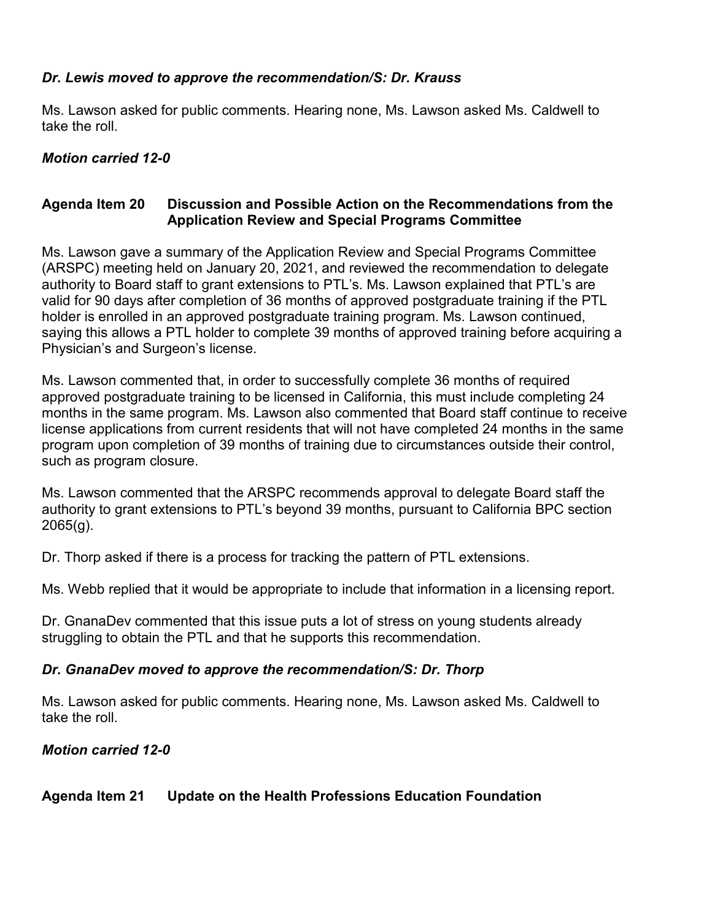# *Dr. Lewis moved to approve the recommendation/S: Dr. Krauss*

Ms. Lawson asked for public comments. Hearing none, Ms. Lawson asked Ms. Caldwell to take the roll.

# *Motion carried 12-0*

#### **Agenda Item 20 Discussion and Possible Action on the Recommendations from the Application Review and Special Programs Committee**

 authority to Board staff to grant extensions to PTL's. Ms. Lawson explained that PTL's are Ms. Lawson gave a summary of the Application Review and Special Programs Committee (ARSPC) meeting held on January 20, 2021, and reviewed the recommendation to delegate valid for 90 days after completion of 36 months of approved postgraduate training if the PTL holder is enrolled in an approved postgraduate training program. Ms. Lawson continued, saying this allows a PTL holder to complete 39 months of approved training before acquiring a Physician's and Surgeon's license.

Ms. Lawson commented that, in order to successfully complete 36 months of required approved postgraduate training to be licensed in California, this must include completing 24 months in the same program. Ms. Lawson also commented that Board staff continue to receive license applications from current residents that will not have completed 24 months in the same program upon completion of 39 months of training due to circumstances outside their control, such as program closure.

 Ms. Lawson commented that the ARSPC recommends approval to delegate Board staff the authority to grant extensions to PTL's beyond 39 months, pursuant to California BPC section 2065(g).

Dr. Thorp asked if there is a process for tracking the pattern of PTL extensions.

Ms. Webb replied that it would be appropriate to include that information in a licensing report.

 Dr. GnanaDev commented that this issue puts a lot of stress on young students already struggling to obtain the PTL and that he supports this recommendation.

#### *Dr. GnanaDev moved to approve the recommendation/S: Dr. Thorp*

Ms. Lawson asked for public comments. Hearing none, Ms. Lawson asked Ms. Caldwell to take the roll.

# *Motion carried 12-0*

# **Agenda Item 21 Update on the Health Professions Education Foundation**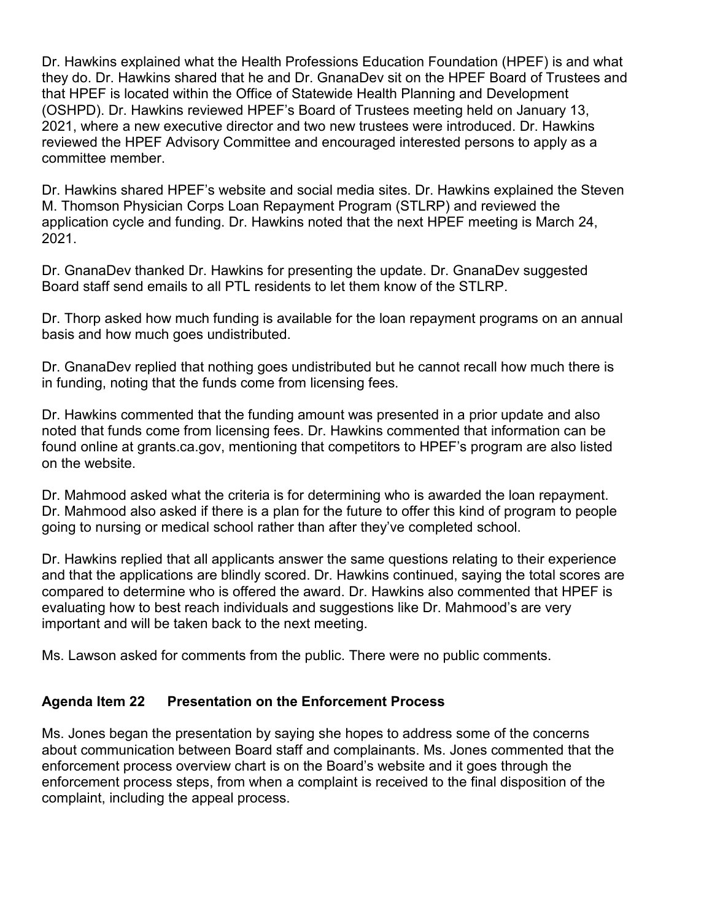Dr. Hawkins explained what the Health Professions Education Foundation (HPEF) is and what they do. Dr. Hawkins shared that he and Dr. GnanaDev sit on the HPEF Board of Trustees and (OSHPD). Dr. Hawkins reviewed HPEF's Board of Trustees meeting held on January 13, that HPEF is located within the Office of Statewide Health Planning and Development 2021, where a new executive director and two new trustees were introduced. Dr. Hawkins reviewed the HPEF Advisory Committee and encouraged interested persons to apply as a committee member.

Dr. Hawkins shared HPEF's website and social media sites. Dr. Hawkins explained the Steven M. Thomson Physician Corps Loan Repayment Program (STLRP) and reviewed the application cycle and funding. Dr. Hawkins noted that the next HPEF meeting is March 24, 2021.

Dr. GnanaDev thanked Dr. Hawkins for presenting the update. Dr. GnanaDev suggested Board staff send emails to all PTL residents to let them know of the STLRP.

Dr. Thorp asked how much funding is available for the loan repayment programs on an annual basis and how much goes undistributed.

Dr. GnanaDev replied that nothing goes undistributed but he cannot recall how much there is in funding, noting that the funds come from licensing fees.

Dr. Hawkins commented that the funding amount was presented in a prior update and also noted that funds come from licensing fees. Dr. Hawkins commented that information can be found online at [grants.ca.gov](https://grants.ca.gov), mentioning that competitors to HPEF's program are also listed on the website.

 Dr. Mahmood also asked if there is a plan for the future to offer this kind of program to people Dr. Mahmood asked what the criteria is for determining who is awarded the loan repayment. going to nursing or medical school rather than after they've completed school.

 evaluating how to best reach individuals and suggestions like Dr. Mahmood's are very important and will be taken back to the next meeting. Dr. Hawkins replied that all applicants answer the same questions relating to their experience and that the applications are blindly scored. Dr. Hawkins continued, saying the total scores are compared to determine who is offered the award. Dr. Hawkins also commented that HPEF is

Ms. Lawson asked for comments from the public. There were no public comments.

# **Agenda Item 22 Presentation on the Enforcement Process**

 enforcement process steps, from when a complaint is received to the final disposition of the Ms. Jones began the presentation by saying she hopes to address some of the concerns about communication between Board staff and complainants. Ms. Jones commented that the enforcement process overview chart is on the Board's website and it goes through the complaint, including the appeal process.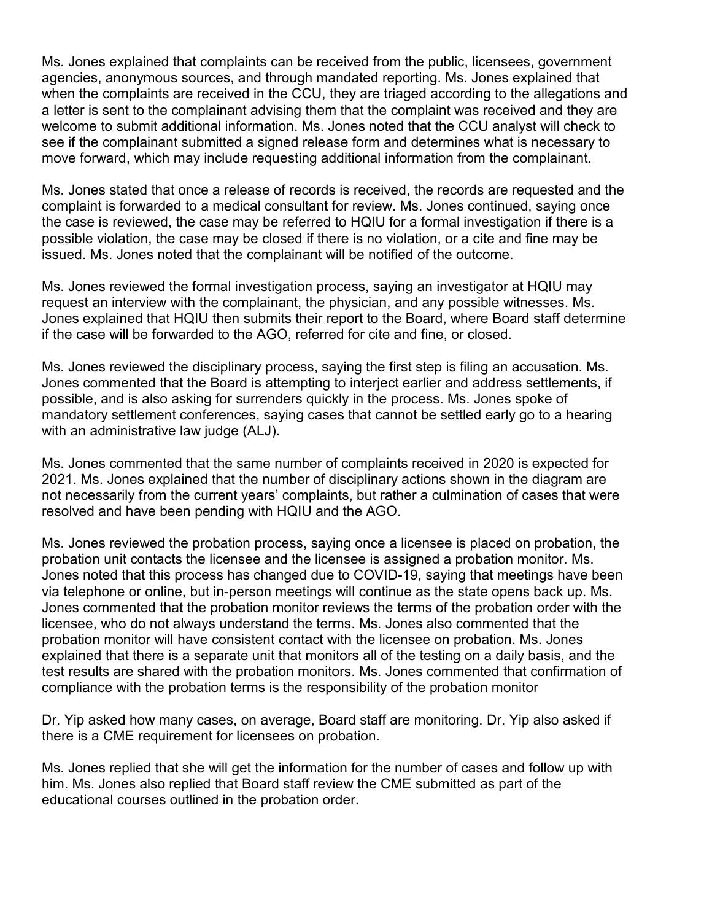agencies, anonymous sources, and through mandated reporting. Ms. Jones explained that see if the complainant submitted a signed release form and determines what is necessary to Ms. Jones explained that complaints can be received from the public, licensees, government when the complaints are received in the CCU, they are triaged according to the allegations and a letter is sent to the complainant advising them that the complaint was received and they are welcome to submit additional information. Ms. Jones noted that the CCU analyst will check to move forward, which may include requesting additional information from the complainant.

 possible violation, the case may be closed if there is no violation, or a cite and fine may be Ms. Jones stated that once a release of records is received, the records are requested and the complaint is forwarded to a medical consultant for review. Ms. Jones continued, saying once the case is reviewed, the case may be referred to HQIU for a formal investigation if there is a issued. Ms. Jones noted that the complainant will be notified of the outcome.

Ms. Jones reviewed the formal investigation process, saying an investigator at HQIU may request an interview with the complainant, the physician, and any possible witnesses. Ms. Jones explained that HQIU then submits their report to the Board, where Board staff determine if the case will be forwarded to the AGO, referred for cite and fine, or closed.

 possible, and is also asking for surrenders quickly in the process. Ms. Jones spoke of Ms. Jones reviewed the disciplinary process, saying the first step is filing an accusation. Ms. Jones commented that the Board is attempting to interject earlier and address settlements, if mandatory settlement conferences, saying cases that cannot be settled early go to a hearing with an administrative law judge (ALJ).

 Ms. Jones commented that the same number of complaints received in 2020 is expected for not necessarily from the current years' complaints, but rather a culmination of cases that were 2021. Ms. Jones explained that the number of disciplinary actions shown in the diagram are resolved and have been pending with HQIU and the AGO.

 via telephone or online, but in-person meetings will continue as the state opens back up. Ms. Jones commented that the probation monitor reviews the terms of the probation order with the Ms. Jones reviewed the probation process, saying once a licensee is placed on probation, the probation unit contacts the licensee and the licensee is assigned a probation monitor. Ms. Jones noted that this process has changed due to COVID-19, saying that meetings have been licensee, who do not always understand the terms. Ms. Jones also commented that the probation monitor will have consistent contact with the licensee on probation. Ms. Jones explained that there is a separate unit that monitors all of the testing on a daily basis, and the test results are shared with the probation monitors. Ms. Jones commented that confirmation of compliance with the probation terms is the responsibility of the probation monitor

Dr. Yip asked how many cases, on average, Board staff are monitoring. Dr. Yip also asked if there is a CME requirement for licensees on probation.

Ms. Jones replied that she will get the information for the number of cases and follow up with him. Ms. Jones also replied that Board staff review the CME submitted as part of the educational courses outlined in the probation order.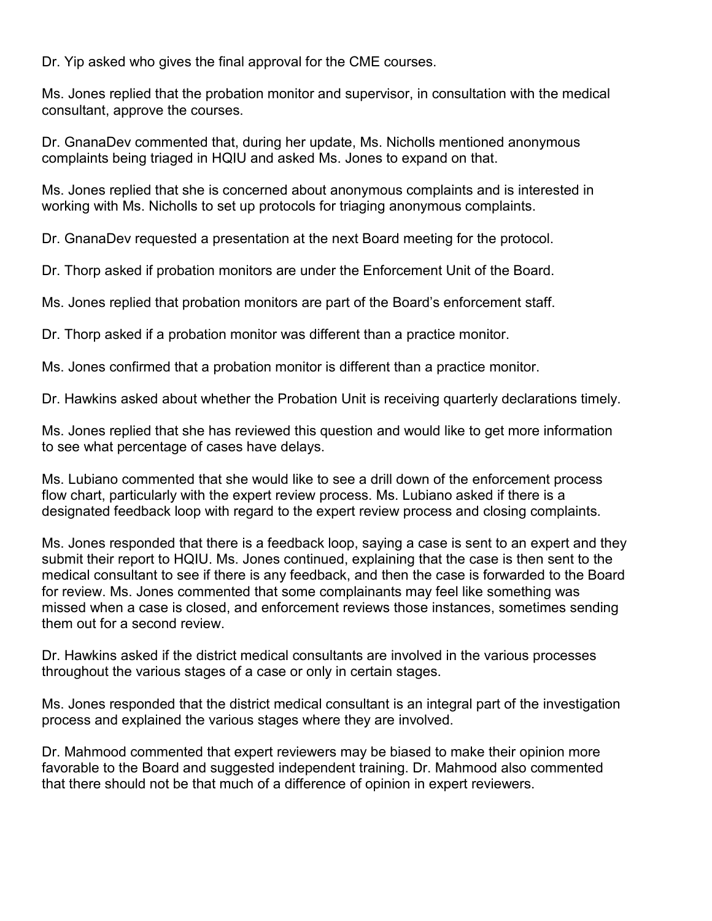Dr. Yip asked who gives the final approval for the CME courses.

Ms. Jones replied that the probation monitor and supervisor, in consultation with the medical consultant, approve the courses.

Dr. GnanaDev commented that, during her update, Ms. Nicholls mentioned anonymous complaints being triaged in HQIU and asked Ms. Jones to expand on that.

Ms. Jones replied that she is concerned about anonymous complaints and is interested in working with Ms. Nicholls to set up protocols for triaging anonymous complaints.

Dr. GnanaDev requested a presentation at the next Board meeting for the protocol.

Dr. Thorp asked if probation monitors are under the Enforcement Unit of the Board.

Ms. Jones replied that probation monitors are part of the Board's enforcement staff.

Dr. Thorp asked if a probation monitor was different than a practice monitor.

Ms. Jones confirmed that a probation monitor is different than a practice monitor.

Dr. Hawkins asked about whether the Probation Unit is receiving quarterly declarations timely.

Ms. Jones replied that she has reviewed this question and would like to get more information to see what percentage of cases have delays.

 flow chart, particularly with the expert review process. Ms. Lubiano asked if there is a designated feedback loop with regard to the expert review process and closing complaints. Ms. Lubiano commented that she would like to see a drill down of the enforcement process

 submit their report to HQIU. Ms. Jones continued, explaining that the case is then sent to the medical consultant to see if there is any feedback, and then the case is forwarded to the Board for review. Ms. Jones commented that some complainants may feel like something was Ms. Jones responded that there is a feedback loop, saying a case is sent to an expert and they missed when a case is closed, and enforcement reviews those instances, sometimes sending them out for a second review.

 throughout the various stages of a case or only in certain stages. Dr. Hawkins asked if the district medical consultants are involved in the various processes

Ms. Jones responded that the district medical consultant is an integral part of the investigation process and explained the various stages where they are involved.

 that there should not be that much of a difference of opinion in expert reviewers. Dr. Mahmood commented that expert reviewers may be biased to make their opinion more favorable to the Board and suggested independent training. Dr. Mahmood also commented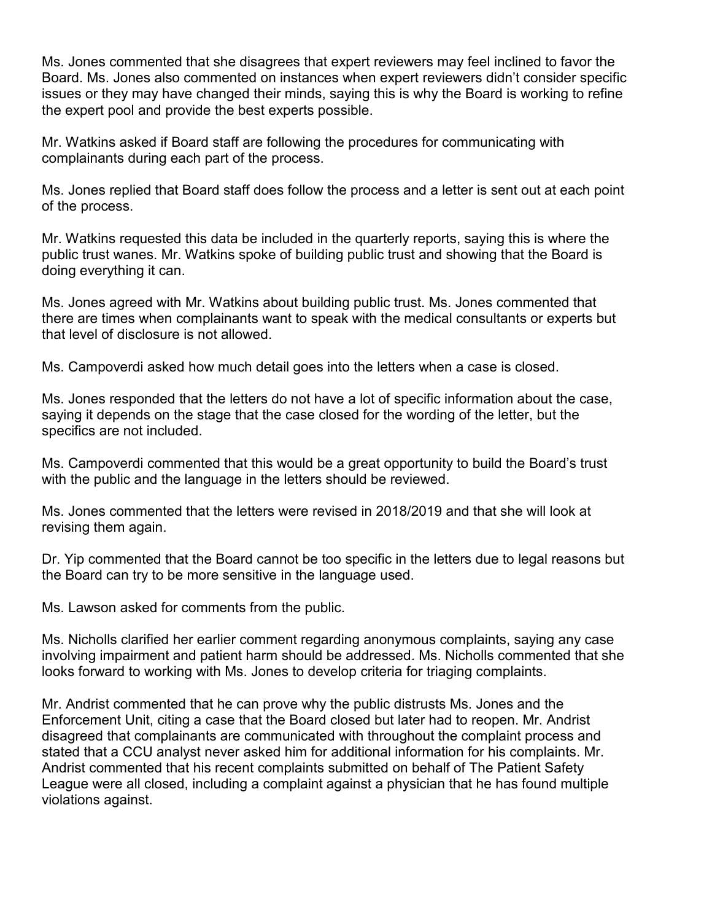Ms. Jones commented that she disagrees that expert reviewers may feel inclined to favor the Board. Ms. Jones also commented on instances when expert reviewers didn't consider specific issues or they may have changed their minds, saying this is why the Board is working to refine the expert pool and provide the best experts possible.

Mr. Watkins asked if Board staff are following the procedures for communicating with complainants during each part of the process.

 Ms. Jones replied that Board staff does follow the process and a letter is sent out at each point of the process.

Mr. Watkins requested this data be included in the quarterly reports, saying this is where the public trust wanes. Mr. Watkins spoke of building public trust and showing that the Board is doing everything it can.

 that level of disclosure is not allowed. Ms. Jones agreed with Mr. Watkins about building public trust. Ms. Jones commented that there are times when complainants want to speak with the medical consultants or experts but

Ms. Campoverdi asked how much detail goes into the letters when a case is closed.

 Ms. Jones responded that the letters do not have a lot of specific information about the case, saying it depends on the stage that the case closed for the wording of the letter, but the specifics are not included.

Ms. Campoverdi commented that this would be a great opportunity to build the Board's trust with the public and the language in the letters should be reviewed.

Ms. Jones commented that the letters were revised in 2018/2019 and that she will look at revising them again.

 Dr. Yip commented that the Board cannot be too specific in the letters due to legal reasons but the Board can try to be more sensitive in the language used.

Ms. Lawson asked for comments from the public.

Ms. Nicholls clarified her earlier comment regarding anonymous complaints, saying any case involving impairment and patient harm should be addressed. Ms. Nicholls commented that she looks forward to working with Ms. Jones to develop criteria for triaging complaints.

 disagreed that complainants are communicated with throughout the complaint process and Andrist commented that his recent complaints submitted on behalf of The Patient Safety Mr. Andrist commented that he can prove why the public distrusts Ms. Jones and the Enforcement Unit, citing a case that the Board closed but later had to reopen. Mr. Andrist stated that a CCU analyst never asked him for additional information for his complaints. Mr. League were all closed, including a complaint against a physician that he has found multiple violations against.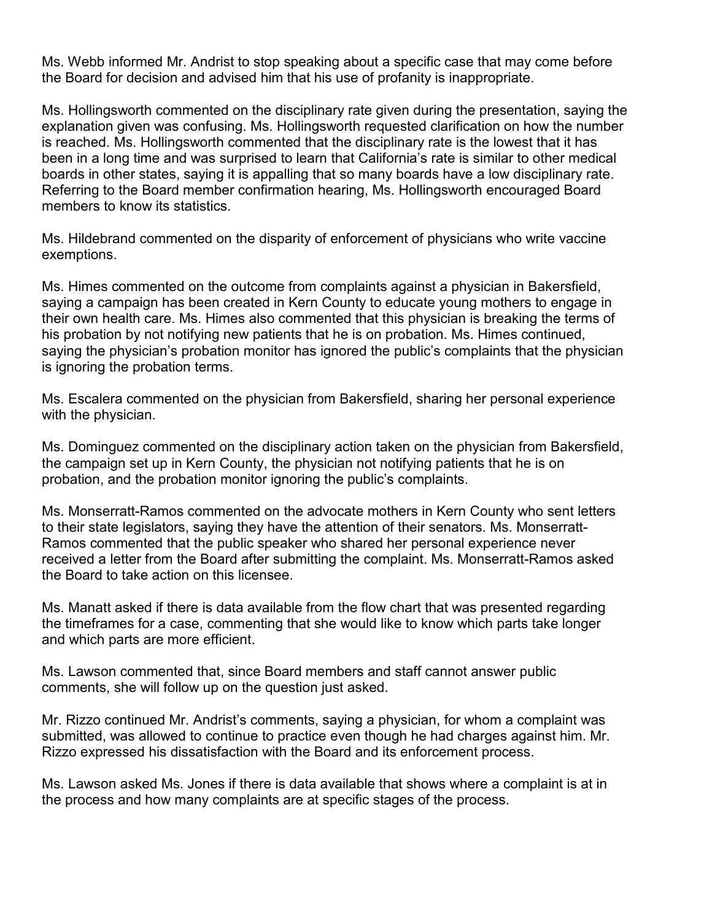Ms. Webb informed Mr. Andrist to stop speaking about a specific case that may come before the Board for decision and advised him that his use of profanity is inappropriate.

Ms. Hollingsworth commented on the disciplinary rate given during the presentation, saying the explanation given was confusing. Ms. Hollingsworth requested clarification on how the number is reached. Ms. Hollingsworth commented that the disciplinary rate is the lowest that it has been in a long time and was surprised to learn that California's rate is similar to other medical boards in other states, saying it is appalling that so many boards have a low disciplinary rate. Referring to the Board member confirmation hearing, Ms. Hollingsworth encouraged Board members to know its statistics.

Ms. Hildebrand commented on the disparity of enforcement of physicians who write vaccine exemptions.

Ms. Himes commented on the outcome from complaints against a physician in Bakersfield, saying a campaign has been created in Kern County to educate young mothers to engage in their own health care. Ms. Himes also commented that this physician is breaking the terms of his probation by not notifying new patients that he is on probation. Ms. Himes continued, saying the physician's probation monitor has ignored the public's complaints that the physician is ignoring the probation terms.

Ms. Escalera commented on the physician from Bakersfield, sharing her personal experience with the physician.

 the campaign set up in Kern County, the physician not notifying patients that he is on Ms. Dominguez commented on the disciplinary action taken on the physician from Bakersfield, probation, and the probation monitor ignoring the public's complaints.

Ms. Monserratt-Ramos commented on the advocate mothers in Kern County who sent letters to their state legislators, saying they have the attention of their senators. Ms. Monserratt-Ramos commented that the public speaker who shared her personal experience never received a letter from the Board after submitting the complaint. Ms. Monserratt-Ramos asked the Board to take action on this licensee.

 the timeframes for a case, commenting that she would like to know which parts take longer Ms. Manatt asked if there is data available from the flow chart that was presented regarding and which parts are more efficient.

 comments, she will follow up on the question just asked. Ms. Lawson commented that, since Board members and staff cannot answer public

 submitted, was allowed to continue to practice even though he had charges against him. Mr. Mr. Rizzo continued Mr. Andrist's comments, saying a physician, for whom a complaint was Rizzo expressed his dissatisfaction with the Board and its enforcement process.

Ms. Lawson asked Ms. Jones if there is data available that shows where a complaint is at in the process and how many complaints are at specific stages of the process.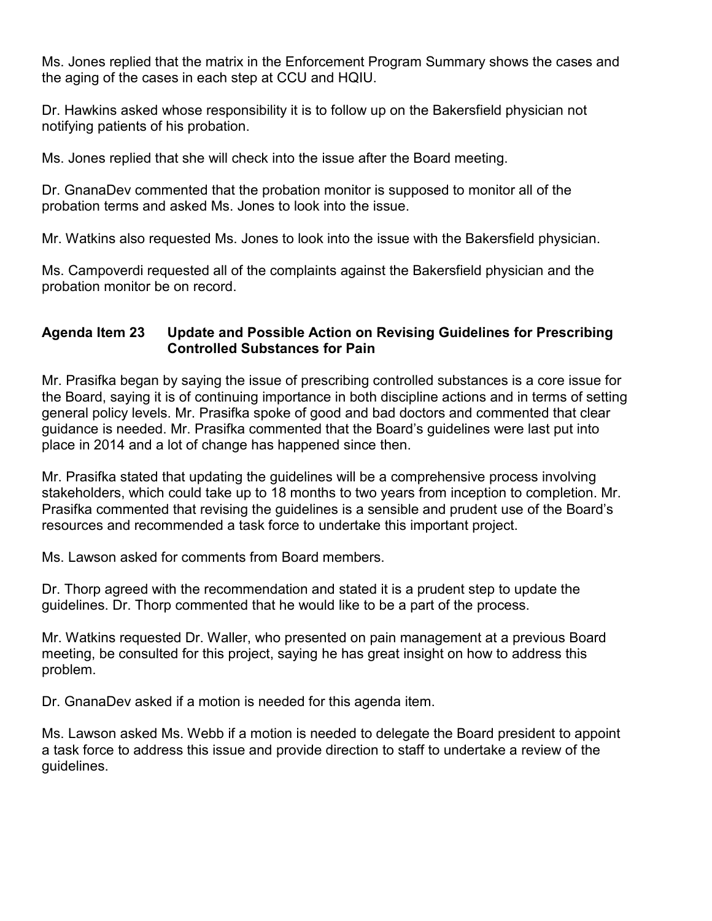the aging of the cases in each step at CCU and HQIU. Ms. Jones replied that the matrix in the Enforcement Program Summary shows the cases and

Dr. Hawkins asked whose responsibility it is to follow up on the Bakersfield physician not notifying patients of his probation.

Ms. Jones replied that she will check into the issue after the Board meeting.

 Dr. GnanaDev commented that the probation monitor is supposed to monitor all of the probation terms and asked Ms. Jones to look into the issue.

Mr. Watkins also requested Ms. Jones to look into the issue with the Bakersfield physician.

Ms. Campoverdi requested all of the complaints against the Bakersfield physician and the probation monitor be on record.

# **Agenda Item 23 Update and Possible Action on Revising Guidelines for Prescribing Controlled Substances for Pain**

 Mr. Prasifka began by saying the issue of prescribing controlled substances is a core issue for the Board, saying it is of continuing importance in both discipline actions and in terms of setting general policy levels. Mr. Prasifka spoke of good and bad doctors and commented that clear guidance is needed. Mr. Prasifka commented that the Board's guidelines were last put into place in 2014 and a lot of change has happened since then.

 stakeholders, which could take up to 18 months to two years from inception to completion. Mr. Mr. Prasifka stated that updating the guidelines will be a comprehensive process involving Prasifka commented that revising the guidelines is a sensible and prudent use of the Board's resources and recommended a task force to undertake this important project.

Ms. Lawson asked for comments from Board members.

guidelines. Dr. Thorp commented that he would like to be a part of the process. Dr. Thorp agreed with the recommendation and stated it is a prudent step to update the

Mr. Watkins requested Dr. Waller, who presented on pain management at a previous Board meeting, be consulted for this project, saying he has great insight on how to address this problem.

Dr. GnanaDev asked if a motion is needed for this agenda item.

 Ms. Lawson asked Ms. Webb if a motion is needed to delegate the Board president to appoint a task force to address this issue and provide direction to staff to undertake a review of the guidelines.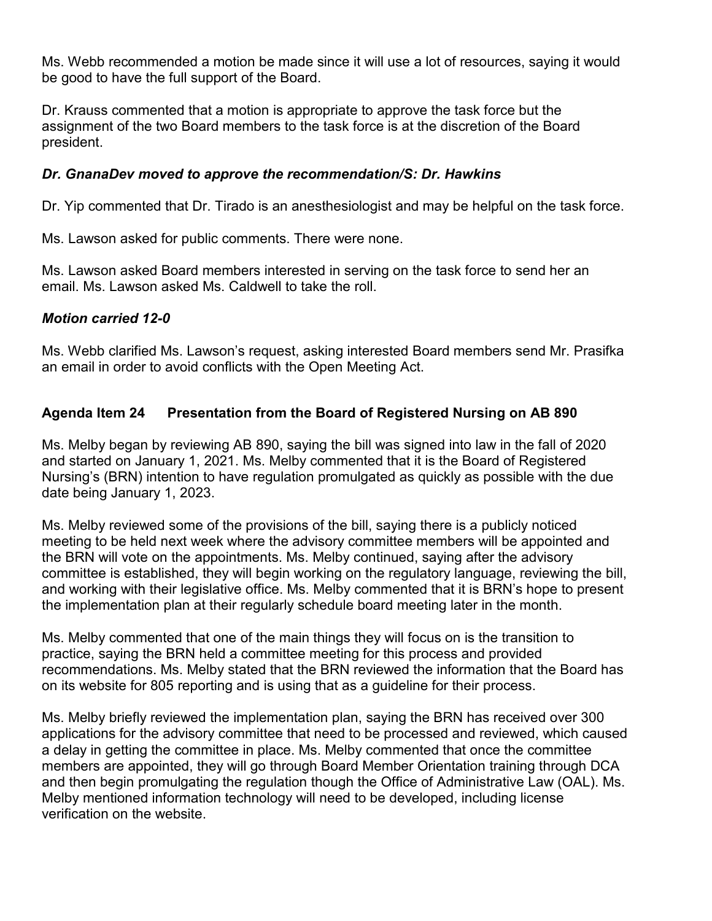Ms. Webb recommended a motion be made since it will use a lot of resources, saying it would be good to have the full support of the Board.

 assignment of the two Board members to the task force is at the discretion of the Board Dr. Krauss commented that a motion is appropriate to approve the task force but the president.

# *Dr. GnanaDev moved to approve the recommendation/S: Dr. Hawkins*

Dr. Yip commented that Dr. Tirado is an anesthesiologist and may be helpful on the task force.

Ms. Lawson asked for public comments. There were none.

Ms. Lawson asked Board members interested in serving on the task force to send her an email. Ms. Lawson asked Ms. Caldwell to take the roll.

# *Motion carried 12-0*

Ms. Webb clarified Ms. Lawson's request, asking interested Board members send Mr. Prasifka an email in order to avoid conflicts with the Open Meeting Act.

# **Agenda Item 24 Presentation from the Board of Registered Nursing on AB 890**

Ms. Melby began by reviewing AB 890, saying the bill was signed into law in the fall of 2020 and started on January 1, 2021. Ms. Melby commented that it is the Board of Registered Nursing's (BRN) intention to have regulation promulgated as quickly as possible with the due date being January 1, 2023.

Ms. Melby reviewed some of the provisions of the bill, saying there is a publicly noticed meeting to be held next week where the advisory committee members will be appointed and the BRN will vote on the appointments. Ms. Melby continued, saying after the advisory committee is established, they will begin working on the regulatory language, reviewing the bill, and working with their legislative office. Ms. Melby commented that it is BRN's hope to present the implementation plan at their regularly schedule board meeting later in the month.

 recommendations. Ms. Melby stated that the BRN reviewed the information that the Board has on its website for 805 reporting and is using that as a guideline for their process. Ms. Melby commented that one of the main things they will focus on is the transition to practice, saying the BRN held a committee meeting for this process and provided

 Melby mentioned information technology will need to be developed, including license Ms. Melby briefly reviewed the implementation plan, saying the BRN has received over 300 applications for the advisory committee that need to be processed and reviewed, which caused a delay in getting the committee in place. Ms. Melby commented that once the committee members are appointed, they will go through Board Member Orientation training through DCA and then begin promulgating the regulation though the Office of Administrative Law (OAL). Ms. verification on the website.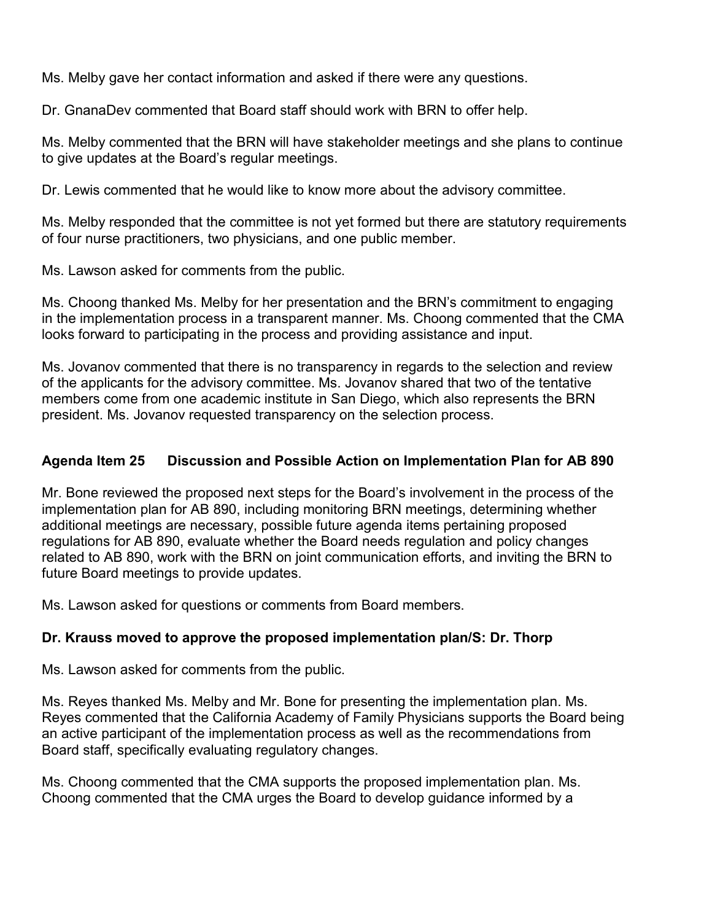Ms. Melby gave her contact information and asked if there were any questions.

Dr. GnanaDev commented that Board staff should work with BRN to offer help.

 Ms. Melby commented that the BRN will have stakeholder meetings and she plans to continue to give updates at the Board's regular meetings.

Dr. Lewis commented that he would like to know more about the advisory committee.

 Ms. Melby responded that the committee is not yet formed but there are statutory requirements of four nurse practitioners, two physicians, and one public member.

Ms. Lawson asked for comments from the public.

Ms. Choong thanked Ms. Melby for her presentation and the BRN's commitment to engaging in the implementation process in a transparent manner. Ms. Choong commented that the CMA looks forward to participating in the process and providing assistance and input.

 of the applicants for the advisory committee. Ms. Jovanov shared that two of the tentative Ms. Jovanov commented that there is no transparency in regards to the selection and review members come from one academic institute in San Diego, which also represents the BRN president. Ms. Jovanov requested transparency on the selection process.

# **Agenda Item 25 Discussion and Possible Action on Implementation Plan for AB 890**

 regulations for AB 890, evaluate whether the Board needs regulation and policy changes Mr. Bone reviewed the proposed next steps for the Board's involvement in the process of the implementation plan for AB 890, including monitoring BRN meetings, determining whether additional meetings are necessary, possible future agenda items pertaining proposed related to AB 890, work with the BRN on joint communication efforts, and inviting the BRN to future Board meetings to provide updates.

Ms. Lawson asked for questions or comments from Board members.

# **Dr. Krauss moved to approve the proposed implementation plan/S: Dr. Thorp**

Ms. Lawson asked for comments from the public.

 an active participant of the implementation process as well as the recommendations from Ms. Reyes thanked Ms. Melby and Mr. Bone for presenting the implementation plan. Ms. Reyes commented that the California Academy of Family Physicians supports the Board being Board staff, specifically evaluating regulatory changes.

Ms. Choong commented that the CMA supports the proposed implementation plan. Ms. Choong commented that the CMA urges the Board to develop guidance informed by a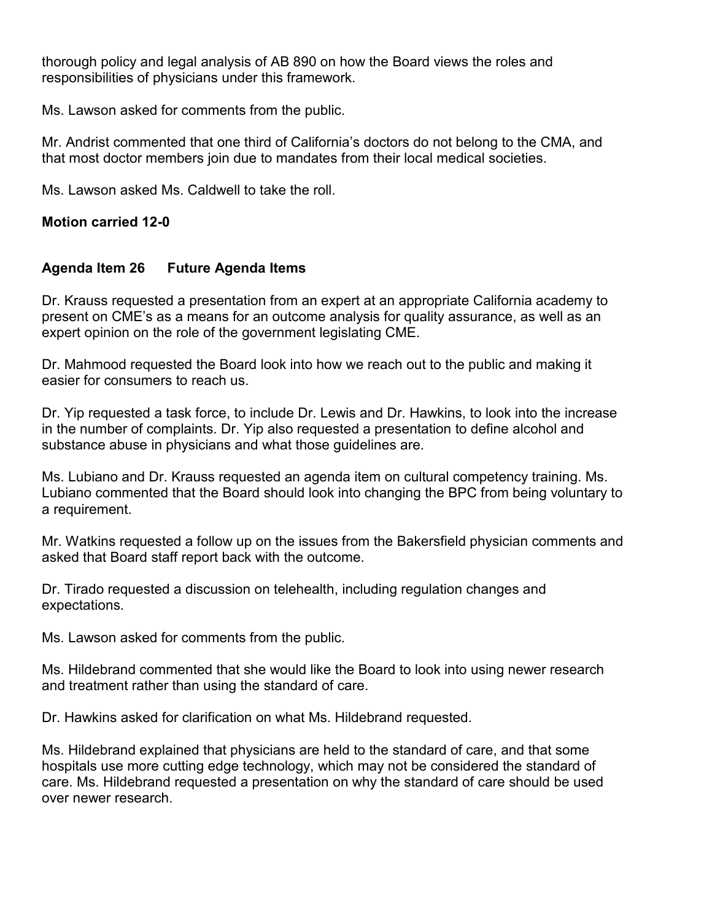thorough policy and legal analysis of AB 890 on how the Board views the roles and responsibilities of physicians under this framework.

Ms. Lawson asked for comments from the public.

Mr. Andrist commented that one third of California's doctors do not belong to the CMA, and that most doctor members join due to mandates from their local medical societies.

Ms. Lawson asked Ms. Caldwell to take the roll.

#### **Motion carried 12-0**

# **Agenda Item 26 Future Agenda Items**

Dr. Krauss requested a presentation from an expert at an appropriate California academy to present on CME's as a means for an outcome analysis for quality assurance, as well as an expert opinion on the role of the government legislating CME.

 Dr. Mahmood requested the Board look into how we reach out to the public and making it easier for consumers to reach us.

 Dr. Yip requested a task force, to include Dr. Lewis and Dr. Hawkins, to look into the increase in the number of complaints. Dr. Yip also requested a presentation to define alcohol and substance abuse in physicians and what those guidelines are.

 Lubiano commented that the Board should look into changing the BPC from being voluntary to Ms. Lubiano and Dr. Krauss requested an agenda item on cultural competency training. Ms. a requirement.

Mr. Watkins requested a follow up on the issues from the Bakersfield physician comments and asked that Board staff report back with the outcome.

 Dr. Tirado requested a discussion on telehealth, including regulation changes and expectations.

Ms. Lawson asked for comments from the public.

Ms. Hildebrand commented that she would like the Board to look into using newer research and treatment rather than using the standard of care.

Dr. Hawkins asked for clarification on what Ms. Hildebrand requested.

Ms. Hildebrand explained that physicians are held to the standard of care, and that some hospitals use more cutting edge technology, which may not be considered the standard of care. Ms. Hildebrand requested a presentation on why the standard of care should be used over newer research.